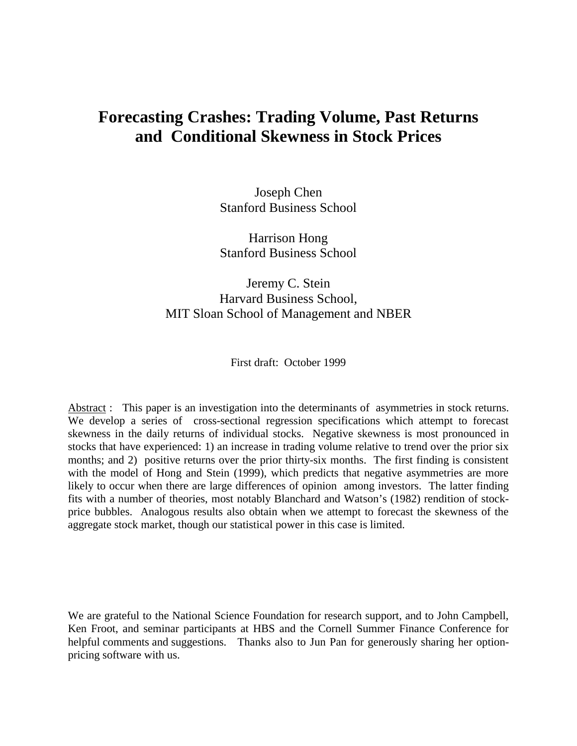# **Forecasting Crashes: Trading Volume, Past Returns and Conditional Skewness in Stock Prices**

Joseph Chen Stanford Business School

Harrison Hong Stanford Business School

## Jeremy C. Stein Harvard Business School, MIT Sloan School of Management and NBER

First draft: October 1999

Abstract : This paper is an investigation into the determinants of asymmetries in stock returns. We develop a series of cross-sectional regression specifications which attempt to forecast skewness in the daily returns of individual stocks. Negative skewness is most pronounced in stocks that have experienced: 1) an increase in trading volume relative to trend over the prior six months; and 2) positive returns over the prior thirty-six months. The first finding is consistent with the model of Hong and Stein (1999), which predicts that negative asymmetries are more likely to occur when there are large differences of opinion among investors. The latter finding fits with a number of theories, most notably Blanchard and Watson's (1982) rendition of stockprice bubbles. Analogous results also obtain when we attempt to forecast the skewness of the aggregate stock market, though our statistical power in this case is limited.

We are grateful to the National Science Foundation for research support, and to John Campbell, Ken Froot, and seminar participants at HBS and the Cornell Summer Finance Conference for helpful comments and suggestions. Thanks also to Jun Pan for generously sharing her optionpricing software with us.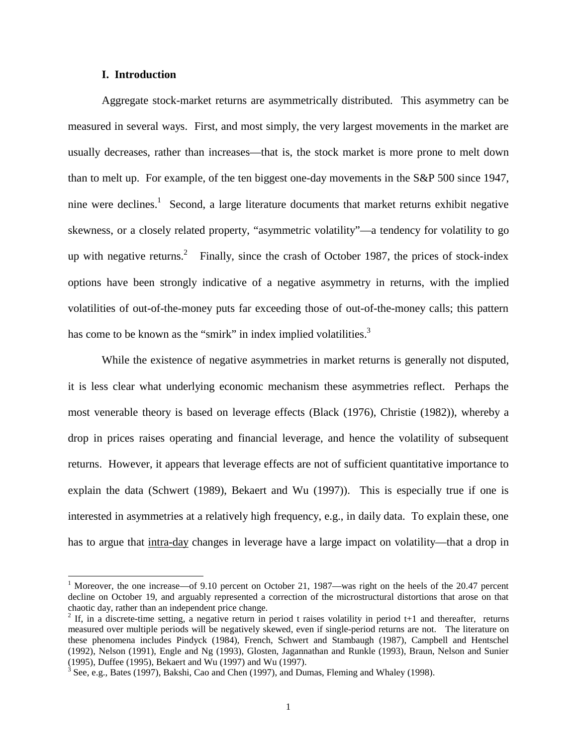### **I. Introduction**

 $\overline{a}$ 

Aggregate stock-market returns are asymmetrically distributed. This asymmetry can be measured in several ways. First, and most simply, the very largest movements in the market are usually decreases, rather than increases—that is, the stock market is more prone to melt down than to melt up. For example, of the ten biggest one-day movements in the S&P 500 since 1947, nine were declines.<sup>1</sup> Second, a large literature documents that market returns exhibit negative skewness, or a closely related property, "asymmetric volatility"—a tendency for volatility to go up with negative returns.<sup>2</sup> Finally, since the crash of October 1987, the prices of stock-index options have been strongly indicative of a negative asymmetry in returns, with the implied volatilities of out-of-the-money puts far exceeding those of out-of-the-money calls; this pattern has come to be known as the "smirk" in index implied volatilities.<sup>3</sup>

 While the existence of negative asymmetries in market returns is generally not disputed, it is less clear what underlying economic mechanism these asymmetries reflect. Perhaps the most venerable theory is based on leverage effects (Black (1976), Christie (1982)), whereby a drop in prices raises operating and financial leverage, and hence the volatility of subsequent returns. However, it appears that leverage effects are not of sufficient quantitative importance to explain the data (Schwert (1989), Bekaert and Wu (1997)). This is especially true if one is interested in asymmetries at a relatively high frequency, e.g., in daily data. To explain these, one has to argue that intra-day changes in leverage have a large impact on volatility—that a drop in

<sup>&</sup>lt;sup>1</sup> Moreover, the one increase—of 9.10 percent on October 21, 1987—was right on the heels of the 20.47 percent decline on October 19, and arguably represented a correction of the microstructural distortions that arose on that chaotic day, rather than an independent price change.

<sup>&</sup>lt;sup>2</sup> If, in a discrete-time setting, a negative return in period t raises volatility in period t+1 and thereafter, returns measured over multiple periods will be negatively skewed, even if single-period returns are not. The literature on these phenomena includes Pindyck (1984), French, Schwert and Stambaugh (1987), Campbell and Hentschel (1992), Nelson (1991), Engle and Ng (1993), Glosten, Jagannathan and Runkle (1993), Braun, Nelson and Sunier (1995), Duffee (1995), Bekaert and Wu (1997) and Wu (1997).

 $3$  See, e.g., Bates (1997), Bakshi, Cao and Chen (1997), and Dumas, Fleming and Whaley (1998).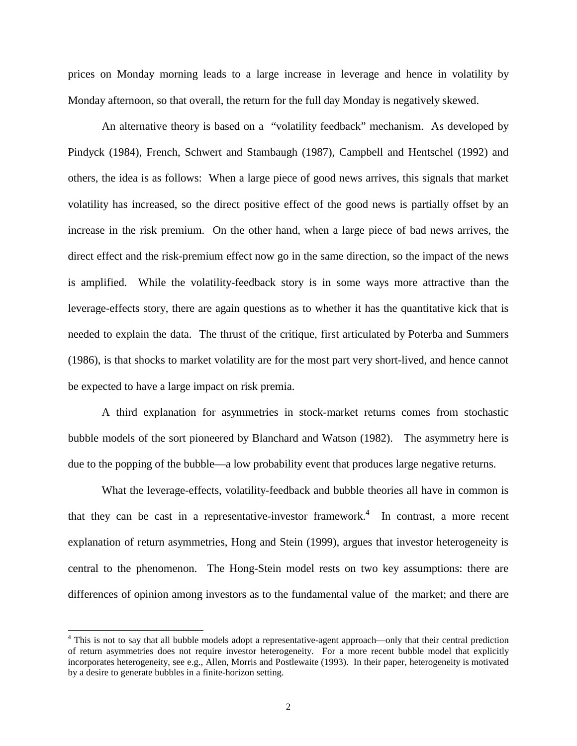prices on Monday morning leads to a large increase in leverage and hence in volatility by Monday afternoon, so that overall, the return for the full day Monday is negatively skewed.

An alternative theory is based on a "volatility feedback" mechanism. As developed by Pindyck (1984), French, Schwert and Stambaugh (1987), Campbell and Hentschel (1992) and others, the idea is as follows: When a large piece of good news arrives, this signals that market volatility has increased, so the direct positive effect of the good news is partially offset by an increase in the risk premium. On the other hand, when a large piece of bad news arrives, the direct effect and the risk-premium effect now go in the same direction, so the impact of the news is amplified. While the volatility-feedback story is in some ways more attractive than the leverage-effects story, there are again questions as to whether it has the quantitative kick that is needed to explain the data. The thrust of the critique, first articulated by Poterba and Summers (1986), is that shocks to market volatility are for the most part very short-lived, and hence cannot be expected to have a large impact on risk premia.

 A third explanation for asymmetries in stock-market returns comes from stochastic bubble models of the sort pioneered by Blanchard and Watson (1982). The asymmetry here is due to the popping of the bubble—a low probability event that produces large negative returns.

 What the leverage-effects, volatility-feedback and bubble theories all have in common is that they can be cast in a representative-investor framework.<sup>4</sup> In contrast, a more recent explanation of return asymmetries, Hong and Stein (1999), argues that investor heterogeneity is central to the phenomenon. The Hong-Stein model rests on two key assumptions: there are differences of opinion among investors as to the fundamental value of the market; and there are

<sup>&</sup>lt;sup>4</sup> This is not to say that all bubble models adopt a representative-agent approach—only that their central prediction of return asymmetries does not require investor heterogeneity. For a more recent bubble model that explicitly incorporates heterogeneity, see e.g., Allen, Morris and Postlewaite (1993). In their paper, heterogeneity is motivated by a desire to generate bubbles in a finite-horizon setting.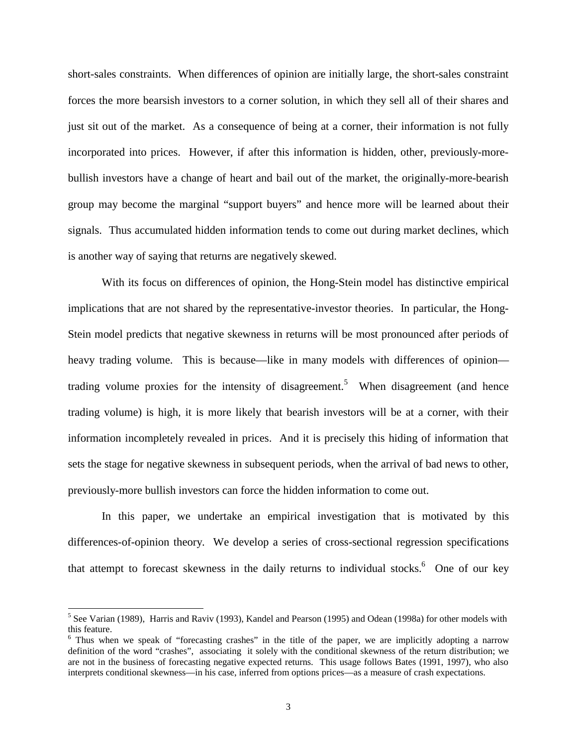short-sales constraints. When differences of opinion are initially large, the short-sales constraint forces the more bearsish investors to a corner solution, in which they sell all of their shares and just sit out of the market. As a consequence of being at a corner, their information is not fully incorporated into prices. However, if after this information is hidden, other, previously-morebullish investors have a change of heart and bail out of the market, the originally-more-bearish group may become the marginal "support buyers" and hence more will be learned about their signals. Thus accumulated hidden information tends to come out during market declines, which is another way of saying that returns are negatively skewed.

 With its focus on differences of opinion, the Hong-Stein model has distinctive empirical implications that are not shared by the representative-investor theories. In particular, the Hong-Stein model predicts that negative skewness in returns will be most pronounced after periods of heavy trading volume. This is because—like in many models with differences of opinion trading volume proxies for the intensity of disagreement.<sup>5</sup> When disagreement (and hence trading volume) is high, it is more likely that bearish investors will be at a corner, with their information incompletely revealed in prices. And it is precisely this hiding of information that sets the stage for negative skewness in subsequent periods, when the arrival of bad news to other, previously-more bullish investors can force the hidden information to come out.

 In this paper, we undertake an empirical investigation that is motivated by this differences-of-opinion theory. We develop a series of cross-sectional regression specifications that attempt to forecast skewness in the daily returns to individual stocks.<sup>6</sup> One of our key

<sup>&</sup>lt;sup>5</sup> See Varian (1989), Harris and Raviv (1993), Kandel and Pearson (1995) and Odean (1998a) for other models with this feature.

<sup>&</sup>lt;sup>6</sup> Thus when we speak of "forecasting crashes" in the title of the paper, we are implicitly adopting a narrow definition of the word "crashes", associating it solely with the conditional skewness of the return distribution; we are not in the business of forecasting negative expected returns. This usage follows Bates (1991, 1997), who also interprets conditional skewness—in his case, inferred from options prices—as a measure of crash expectations.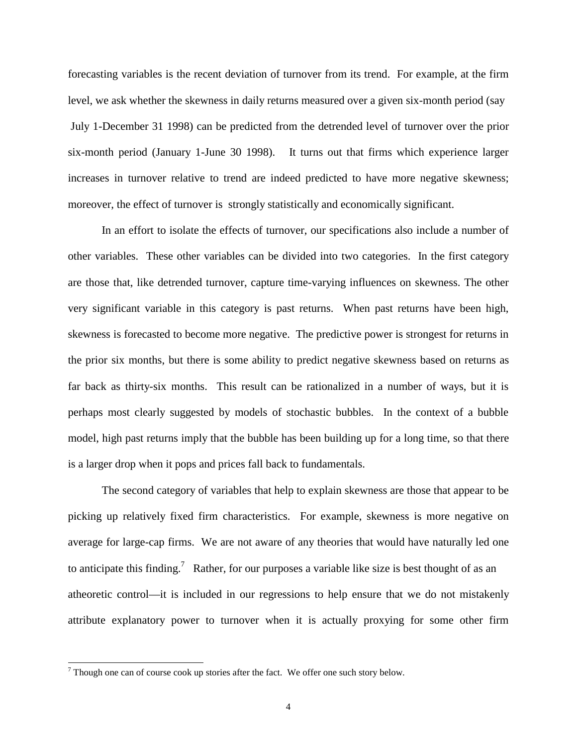forecasting variables is the recent deviation of turnover from its trend. For example, at the firm level, we ask whether the skewness in daily returns measured over a given six-month period (say July 1-December 31 1998) can be predicted from the detrended level of turnover over the prior six-month period (January 1-June 30 1998). It turns out that firms which experience larger increases in turnover relative to trend are indeed predicted to have more negative skewness; moreover, the effect of turnover is strongly statistically and economically significant.

 In an effort to isolate the effects of turnover, our specifications also include a number of other variables. These other variables can be divided into two categories. In the first category are those that, like detrended turnover, capture time-varying influences on skewness. The other very significant variable in this category is past returns. When past returns have been high, skewness is forecasted to become more negative. The predictive power is strongest for returns in the prior six months, but there is some ability to predict negative skewness based on returns as far back as thirty-six months. This result can be rationalized in a number of ways, but it is perhaps most clearly suggested by models of stochastic bubbles. In the context of a bubble model, high past returns imply that the bubble has been building up for a long time, so that there is a larger drop when it pops and prices fall back to fundamentals.

 The second category of variables that help to explain skewness are those that appear to be picking up relatively fixed firm characteristics. For example, skewness is more negative on average for large-cap firms. We are not aware of any theories that would have naturally led one to anticipate this finding.<sup>7</sup> Rather, for our purposes a variable like size is best thought of as an atheoretic control—it is included in our regressions to help ensure that we do not mistakenly attribute explanatory power to turnover when it is actually proxying for some other firm

 $7$  Though one can of course cook up stories after the fact. We offer one such story below.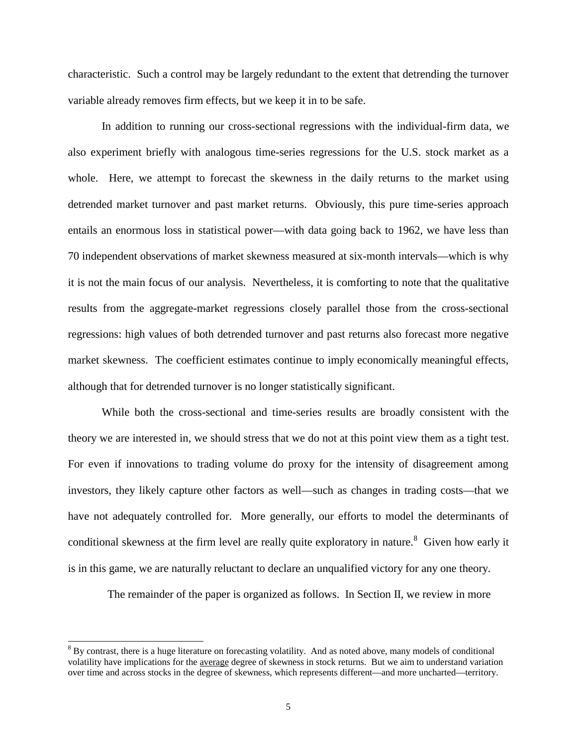characteristic. Such a control may be largely redundant to the extent that detrending the turnover variable already removes firm effects, but we keep it in to be safe.

In addition to running our cross-sectional regressions with the individual-firm data, we also experiment briefly with analogous time-series regressions for the U.S. stock market as a whole. Here, we attempt to forecast the skewness in the daily returns to the market using detrended market turnover and past market returns. Obviously, this pure time-series approach entails an enormous loss in statistical power—with data going back to 1962, we have less than 70 independent observations of market skewness measured at six-month intervals—which is why it is not the main focus of our analysis. Nevertheless, it is comforting to note that the qualitative results from the aggregate-market regressions closely parallel those from the cross-sectional regressions: high values of both detrended turnover and past returns also forecast more negative market skewness. The coefficient estimates continue to imply economically meaningful effects, although that for detrended turnover is no longer statistically significant.

While both the cross-sectional and time-series results are broadly consistent with the theory we are interested in, we should stress that we do not at this point view them as a tight test. For even if innovations to trading volume do proxy for the intensity of disagreement among investors, they likely capture other factors as well—such as changes in trading costs—that we have not adequately controlled for. More generally, our efforts to model the determinants of conditional skewness at the firm level are really quite exploratory in nature.<sup>8</sup> Given how early it is in this game, we are naturally reluctant to declare an unqualified victory for any one theory.

The remainder of the paper is organized as follows. In Section II, we review in more

 $8$  By contrast, there is a huge literature on forecasting volatility. And as noted above, many models of conditional volatility have implications for the average degree of skewness in stock returns. But we aim to understand variation over time and across stocks in the degree of skewness, which represents different—and more uncharted—territory.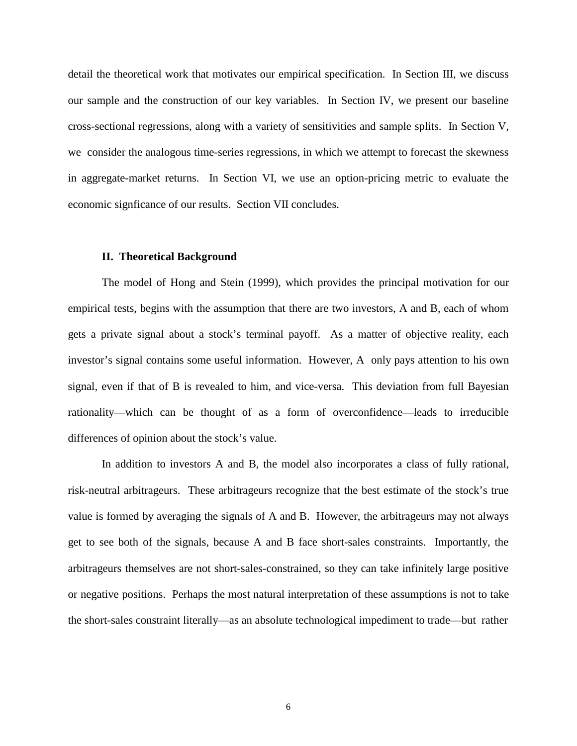detail the theoretical work that motivates our empirical specification. In Section III, we discuss our sample and the construction of our key variables. In Section IV, we present our baseline cross-sectional regressions, along with a variety of sensitivities and sample splits. In Section V, we consider the analogous time-series regressions, in which we attempt to forecast the skewness in aggregate-market returns. In Section VI, we use an option-pricing metric to evaluate the economic signficance of our results. Section VII concludes.

#### **II. Theoretical Background**

The model of Hong and Stein (1999), which provides the principal motivation for our empirical tests, begins with the assumption that there are two investors, A and B, each of whom gets a private signal about a stock's terminal payoff. As a matter of objective reality, each investor's signal contains some useful information. However, A only pays attention to his own signal, even if that of B is revealed to him, and vice-versa. This deviation from full Bayesian rationality—which can be thought of as a form of overconfidence—leads to irreducible differences of opinion about the stock's value.

In addition to investors A and B, the model also incorporates a class of fully rational, risk-neutral arbitrageurs. These arbitrageurs recognize that the best estimate of the stock's true value is formed by averaging the signals of A and B. However, the arbitrageurs may not always get to see both of the signals, because A and B face short-sales constraints. Importantly, the arbitrageurs themselves are not short-sales-constrained, so they can take infinitely large positive or negative positions. Perhaps the most natural interpretation of these assumptions is not to take the short-sales constraint literally—as an absolute technological impediment to trade—but rather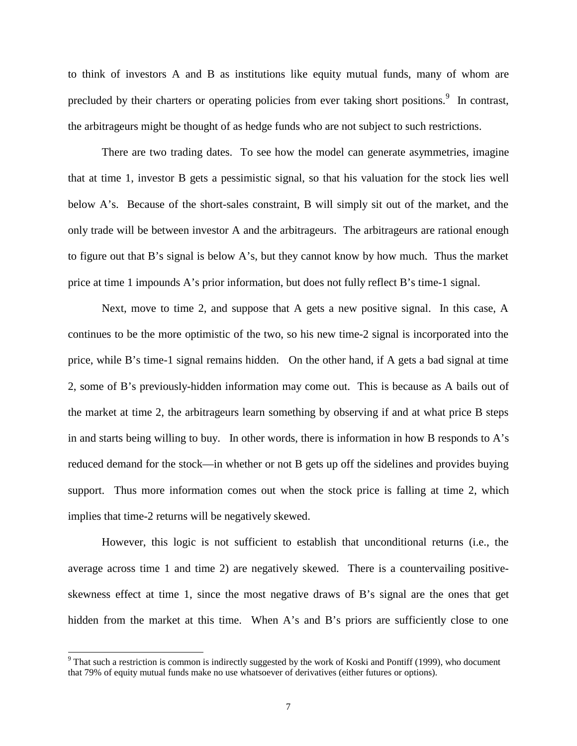to think of investors A and B as institutions like equity mutual funds, many of whom are precluded by their charters or operating policies from ever taking short positions.<sup>9</sup> In contrast, the arbitrageurs might be thought of as hedge funds who are not subject to such restrictions.

There are two trading dates. To see how the model can generate asymmetries, imagine that at time 1, investor B gets a pessimistic signal, so that his valuation for the stock lies well below A's. Because of the short-sales constraint, B will simply sit out of the market, and the only trade will be between investor A and the arbitrageurs. The arbitrageurs are rational enough to figure out that B's signal is below A's, but they cannot know by how much. Thus the market price at time 1 impounds A's prior information, but does not fully reflect B's time-1 signal.

Next, move to time 2, and suppose that A gets a new positive signal. In this case, A continues to be the more optimistic of the two, so his new time-2 signal is incorporated into the price, while B's time-1 signal remains hidden. On the other hand, if A gets a bad signal at time 2, some of B's previously-hidden information may come out. This is because as A bails out of the market at time 2, the arbitrageurs learn something by observing if and at what price B steps in and starts being willing to buy. In other words, there is information in how B responds to A's reduced demand for the stock—in whether or not B gets up off the sidelines and provides buying support. Thus more information comes out when the stock price is falling at time 2, which implies that time-2 returns will be negatively skewed.

However, this logic is not sufficient to establish that unconditional returns (i.e., the average across time 1 and time 2) are negatively skewed. There is a countervailing positiveskewness effect at time 1, since the most negative draws of B's signal are the ones that get hidden from the market at this time. When A's and B's priors are sufficiently close to one

<sup>&</sup>lt;sup>9</sup> That such a restriction is common is indirectly suggested by the work of Koski and Pontiff (1999), who document that 79% of equity mutual funds make no use whatsoever of derivatives (either futures or options).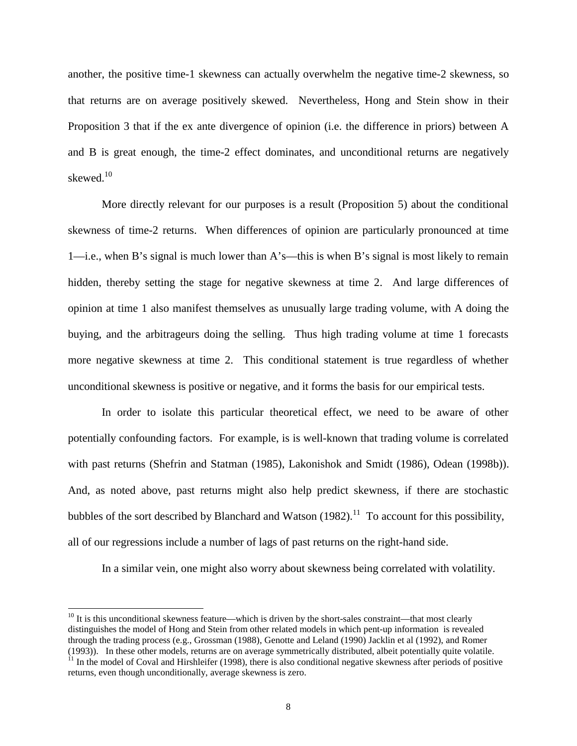another, the positive time-1 skewness can actually overwhelm the negative time-2 skewness, so that returns are on average positively skewed. Nevertheless, Hong and Stein show in their Proposition 3 that if the ex ante divergence of opinion (i.e. the difference in priors) between A and B is great enough, the time-2 effect dominates, and unconditional returns are negatively skewed.<sup>10</sup>

More directly relevant for our purposes is a result (Proposition 5) about the conditional skewness of time-2 returns. When differences of opinion are particularly pronounced at time 1—i.e., when B's signal is much lower than A's—this is when B's signal is most likely to remain hidden, thereby setting the stage for negative skewness at time 2. And large differences of opinion at time 1 also manifest themselves as unusually large trading volume, with A doing the buying, and the arbitrageurs doing the selling. Thus high trading volume at time 1 forecasts more negative skewness at time 2. This conditional statement is true regardless of whether unconditional skewness is positive or negative, and it forms the basis for our empirical tests.

 In order to isolate this particular theoretical effect, we need to be aware of other potentially confounding factors. For example, is is well-known that trading volume is correlated with past returns (Shefrin and Statman (1985), Lakonishok and Smidt (1986), Odean (1998b)). And, as noted above, past returns might also help predict skewness, if there are stochastic bubbles of the sort described by Blanchard and Watson  $(1982)$ .<sup>11</sup> To account for this possibility, all of our regressions include a number of lags of past returns on the right-hand side.

In a similar vein, one might also worry about skewness being correlated with volatility.

 $10$  It is this unconditional skewness feature—which is driven by the short-sales constraint—that most clearly distinguishes the model of Hong and Stein from other related models in which pent-up information is revealed through the trading process (e.g., Grossman (1988), Genotte and Leland (1990) Jacklin et al (1992), and Romer (1993)). In these other models, returns are on average symmetrically distributed, albeit potentially quite volatile.

 $11$  In the model of Coval and Hirshleifer (1998), there is also conditional negative skewness after periods of positive returns, even though unconditionally, average skewness is zero.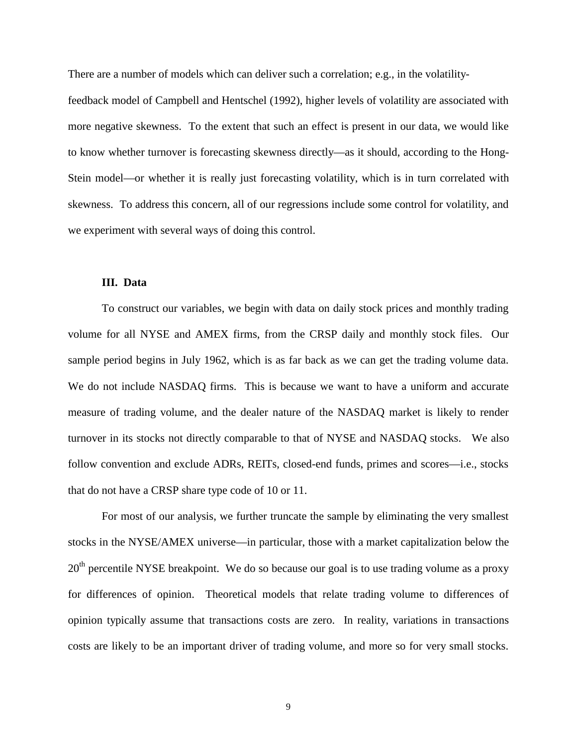There are a number of models which can deliver such a correlation; e.g., in the volatility-

feedback model of Campbell and Hentschel (1992), higher levels of volatility are associated with more negative skewness. To the extent that such an effect is present in our data, we would like to know whether turnover is forecasting skewness directly—as it should, according to the Hong-Stein model—or whether it is really just forecasting volatility, which is in turn correlated with skewness. To address this concern, all of our regressions include some control for volatility, and we experiment with several ways of doing this control.

### **III. Data**

To construct our variables, we begin with data on daily stock prices and monthly trading volume for all NYSE and AMEX firms, from the CRSP daily and monthly stock files. Our sample period begins in July 1962, which is as far back as we can get the trading volume data. We do not include NASDAQ firms. This is because we want to have a uniform and accurate measure of trading volume, and the dealer nature of the NASDAQ market is likely to render turnover in its stocks not directly comparable to that of NYSE and NASDAQ stocks. We also follow convention and exclude ADRs, REITs, closed-end funds, primes and scores—i.e., stocks that do not have a CRSP share type code of 10 or 11.

For most of our analysis, we further truncate the sample by eliminating the very smallest stocks in the NYSE/AMEX universe—in particular, those with a market capitalization below the  $20<sup>th</sup>$  percentile NYSE breakpoint. We do so because our goal is to use trading volume as a proxy for differences of opinion. Theoretical models that relate trading volume to differences of opinion typically assume that transactions costs are zero. In reality, variations in transactions costs are likely to be an important driver of trading volume, and more so for very small stocks.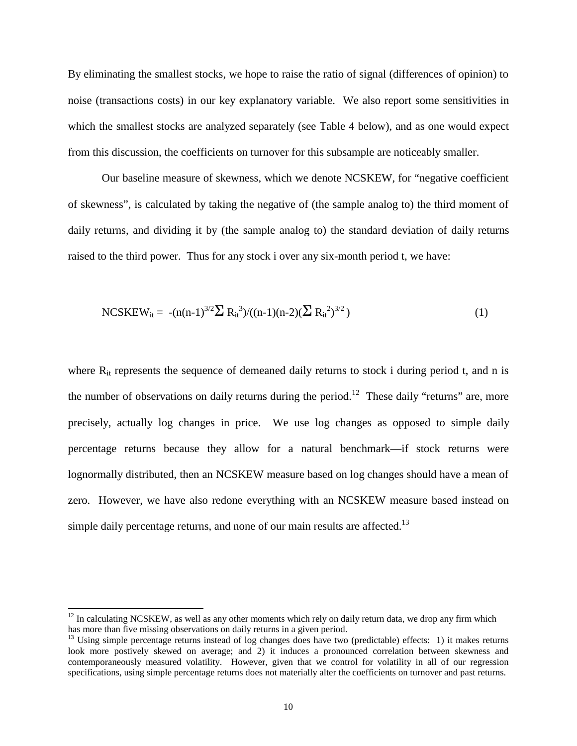By eliminating the smallest stocks, we hope to raise the ratio of signal (differences of opinion) to noise (transactions costs) in our key explanatory variable. We also report some sensitivities in which the smallest stocks are analyzed separately (see Table 4 below), and as one would expect from this discussion, the coefficients on turnover for this subsample are noticeably smaller.

Our baseline measure of skewness, which we denote NCSKEW, for "negative coefficient of skewness", is calculated by taking the negative of (the sample analog to) the third moment of daily returns, and dividing it by (the sample analog to) the standard deviation of daily returns raised to the third power. Thus for any stock i over any six-month period t, we have:

$$
NCSKEW_{it} = -(n(n-1)^{3/2} \sum R_{it}^{3})/((n-1)(n-2)(\sum R_{it}^{2})^{3/2})
$$
\n(1)

where  $R_{it}$  represents the sequence of demeaned daily returns to stock i during period t, and n is the number of observations on daily returns during the period.<sup>12</sup> These daily "returns" are, more precisely, actually log changes in price. We use log changes as opposed to simple daily percentage returns because they allow for a natural benchmark—if stock returns were lognormally distributed, then an NCSKEW measure based on log changes should have a mean of zero. However, we have also redone everything with an NCSKEW measure based instead on simple daily percentage returns, and none of our main results are affected.<sup>13</sup>

 $12$  In calculating NCSKEW, as well as any other moments which rely on daily return data, we drop any firm which has more than five missing observations on daily returns in a given period.

 $13$  Using simple percentage returns instead of log changes does have two (predictable) effects: 1) it makes returns look more postively skewed on average; and 2) it induces a pronounced correlation between skewness and contemporaneously measured volatility. However, given that we control for volatility in all of our regression specifications, using simple percentage returns does not materially alter the coefficients on turnover and past returns.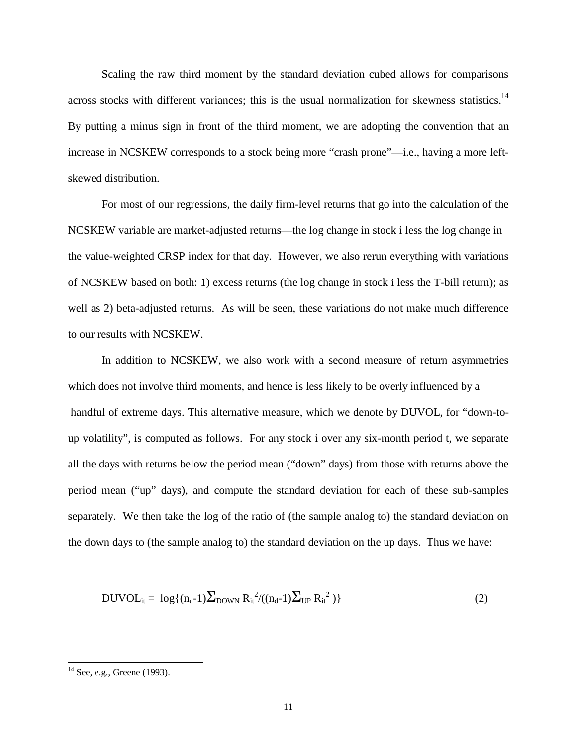Scaling the raw third moment by the standard deviation cubed allows for comparisons across stocks with different variances; this is the usual normalization for skewness statistics.<sup>14</sup> By putting a minus sign in front of the third moment, we are adopting the convention that an increase in NCSKEW corresponds to a stock being more "crash prone"—i.e., having a more leftskewed distribution.

 For most of our regressions, the daily firm-level returns that go into the calculation of the NCSKEW variable are market-adjusted returns—the log change in stock i less the log change in the value-weighted CRSP index for that day. However, we also rerun everything with variations of NCSKEW based on both: 1) excess returns (the log change in stock i less the T-bill return); as well as 2) beta-adjusted returns. As will be seen, these variations do not make much difference to our results with NCSKEW.

 In addition to NCSKEW, we also work with a second measure of return asymmetries which does not involve third moments, and hence is less likely to be overly influenced by a handful of extreme days. This alternative measure, which we denote by DUVOL, for "down-toup volatility", is computed as follows. For any stock i over any six-month period t, we separate all the days with returns below the period mean ("down" days) from those with returns above the period mean ("up" days), and compute the standard deviation for each of these sub-samples separately. We then take the log of the ratio of (the sample analog to) the standard deviation on the down days to (the sample analog to) the standard deviation on the up days. Thus we have:

$$
DUVOL_{it} = \log\{(n_{u} - 1)\sum_{DOWN} R_{it}^{2}/((n_{d} - 1)\sum_{UP} R_{it}^{2})\}
$$
 (2)

 $14$  See, e.g., Greene (1993).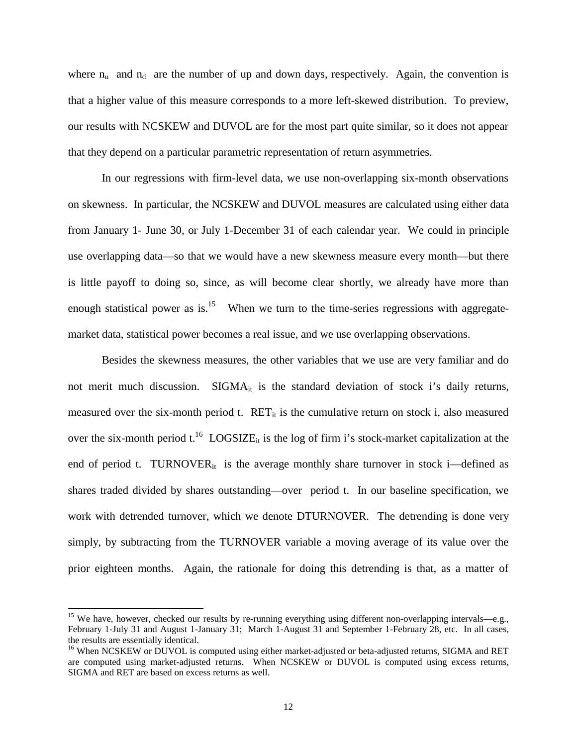where  $n_u$  and  $n_d$  are the number of up and down days, respectively. Again, the convention is that a higher value of this measure corresponds to a more left-skewed distribution. To preview, our results with NCSKEW and DUVOL are for the most part quite similar, so it does not appear that they depend on a particular parametric representation of return asymmetries.

 In our regressions with firm-level data, we use non-overlapping six-month observations on skewness. In particular, the NCSKEW and DUVOL measures are calculated using either data from January 1- June 30, or July 1-December 31 of each calendar year. We could in principle use overlapping data—so that we would have a new skewness measure every month—but there is little payoff to doing so, since, as will become clear shortly, we already have more than enough statistical power as is. $15$  When we turn to the time-series regressions with aggregatemarket data, statistical power becomes a real issue, and we use overlapping observations.

 Besides the skewness measures, the other variables that we use are very familiar and do not merit much discussion.  $SIGMA_{it}$  is the standard deviation of stock i's daily returns, measured over the six-month period t.  $\text{RET}_{it}$  is the cumulative return on stock i, also measured over the six-month period  $t^{16}$  LOGSIZE<sub>it</sub> is the log of firm i's stock-market capitalization at the end of period t. TURNOVER $_{it}$  is the average monthly share turnover in stock i—defined as shares traded divided by shares outstanding—over period t. In our baseline specification, we work with detrended turnover, which we denote DTURNOVER. The detrending is done very simply, by subtracting from the TURNOVER variable a moving average of its value over the prior eighteen months. Again, the rationale for doing this detrending is that, as a matter of

<sup>&</sup>lt;sup>15</sup> We have, however, checked our results by re-running everything using different non-overlapping intervals—e.g., February 1-July 31 and August 1-January 31; March 1-August 31 and September 1-February 28, etc. In all cases, the results are essentially identical.

<sup>&</sup>lt;sup>16</sup> When NCSKEW or DUVOL is computed using either market-adjusted or beta-adjusted returns, SIGMA and RET are computed using market-adjusted returns. When NCSKEW or DUVOL is computed using excess returns, SIGMA and RET are based on excess returns as well.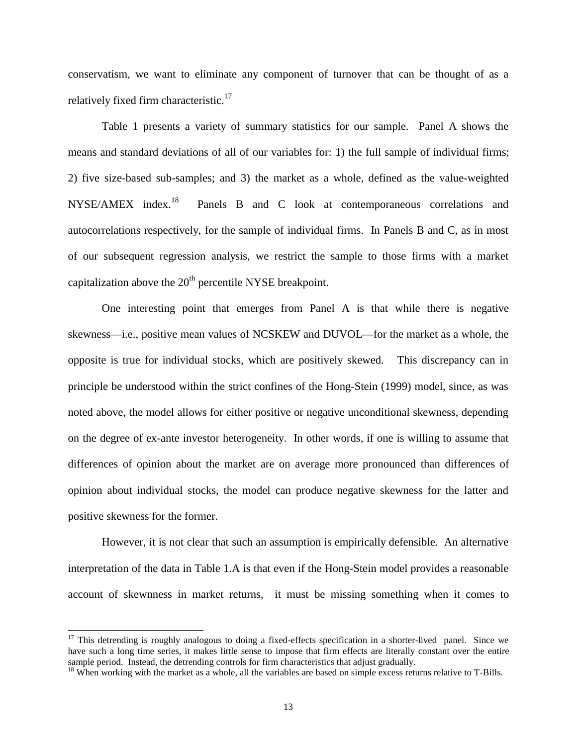conservatism, we want to eliminate any component of turnover that can be thought of as a relatively fixed firm characteristic.<sup>17</sup>

 Table 1 presents a variety of summary statistics for our sample. Panel A shows the means and standard deviations of all of our variables for: 1) the full sample of individual firms; 2) five size-based sub-samples; and 3) the market as a whole, defined as the value-weighted NYSE/AMEX index.<sup>18</sup> Panels B and C look at contemporaneous correlations and autocorrelations respectively, for the sample of individual firms. In Panels B and C, as in most of our subsequent regression analysis, we restrict the sample to those firms with a market capitalization above the  $20<sup>th</sup>$  percentile NYSE breakpoint.

 One interesting point that emerges from Panel A is that while there is negative skewness—i.e., positive mean values of NCSKEW and DUVOL—for the market as a whole, the opposite is true for individual stocks, which are positively skewed. This discrepancy can in principle be understood within the strict confines of the Hong-Stein (1999) model, since, as was noted above, the model allows for either positive or negative unconditional skewness, depending on the degree of ex-ante investor heterogeneity. In other words, if one is willing to assume that differences of opinion about the market are on average more pronounced than differences of opinion about individual stocks, the model can produce negative skewness for the latter and positive skewness for the former.

However, it is not clear that such an assumption is empirically defensible. An alternative interpretation of the data in Table 1.A is that even if the Hong-Stein model provides a reasonable account of skewnness in market returns, it must be missing something when it comes to

 $17$  This detrending is roughly analogous to doing a fixed-effects specification in a shorter-lived panel. Since we have such a long time series, it makes little sense to impose that firm effects are literally constant over the entire sample period. Instead, the detrending controls for firm characteristics that adjust gradually.

 $18$  When working with the market as a whole, all the variables are based on simple excess returns relative to T-Bills.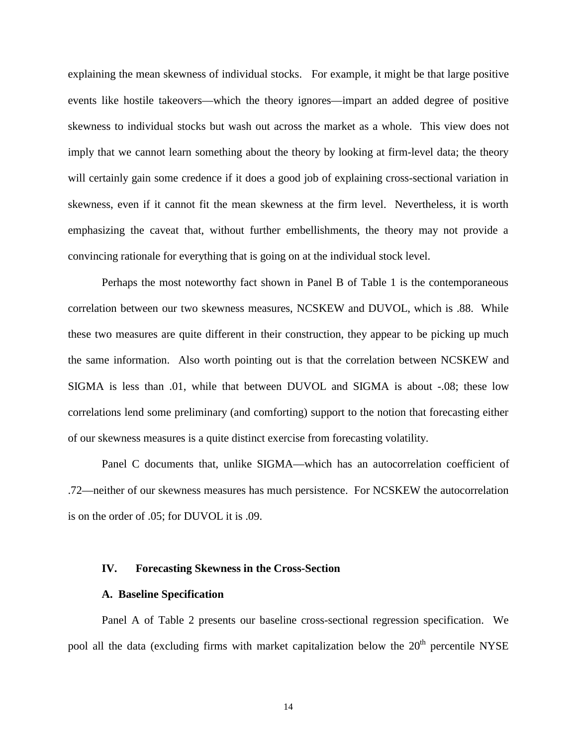explaining the mean skewness of individual stocks. For example, it might be that large positive events like hostile takeovers—which the theory ignores—impart an added degree of positive skewness to individual stocks but wash out across the market as a whole. This view does not imply that we cannot learn something about the theory by looking at firm-level data; the theory will certainly gain some credence if it does a good job of explaining cross-sectional variation in skewness, even if it cannot fit the mean skewness at the firm level. Nevertheless, it is worth emphasizing the caveat that, without further embellishments, the theory may not provide a convincing rationale for everything that is going on at the individual stock level.

 Perhaps the most noteworthy fact shown in Panel B of Table 1 is the contemporaneous correlation between our two skewness measures, NCSKEW and DUVOL, which is .88. While these two measures are quite different in their construction, they appear to be picking up much the same information. Also worth pointing out is that the correlation between NCSKEW and SIGMA is less than .01, while that between DUVOL and SIGMA is about -.08; these low correlations lend some preliminary (and comforting) support to the notion that forecasting either of our skewness measures is a quite distinct exercise from forecasting volatility.

 Panel C documents that, unlike SIGMA—which has an autocorrelation coefficient of .72—neither of our skewness measures has much persistence. For NCSKEW the autocorrelation is on the order of .05; for DUVOL it is .09.

### **IV. Forecasting Skewness in the Cross-Section**

#### **A. Baseline Specification**

Panel A of Table 2 presents our baseline cross-sectional regression specification. We pool all the data (excluding firms with market capitalization below the  $20<sup>th</sup>$  percentile NYSE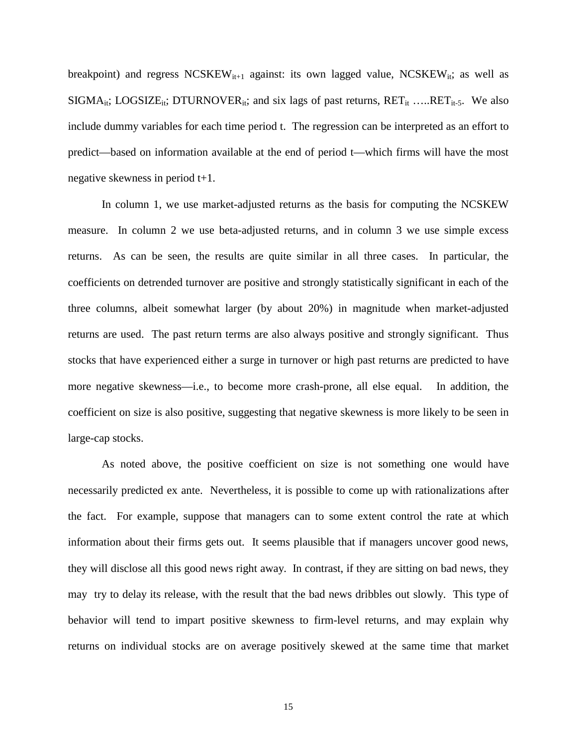breakpoint) and regress  $NCSKEW_{it+1}$  against: its own lagged value,  $NCSKEW_{it}$ ; as well as  $SIGMA_{it}$ ; LOGSIZE<sub>it</sub>; DTURNOVER<sub>it</sub>; and six lags of past returns,  $RET_{it}$  .....RET<sub>it-5</sub>. We also include dummy variables for each time period t. The regression can be interpreted as an effort to predict—based on information available at the end of period t—which firms will have the most negative skewness in period t+1.

In column 1, we use market-adjusted returns as the basis for computing the NCSKEW measure. In column 2 we use beta-adjusted returns, and in column 3 we use simple excess returns. As can be seen, the results are quite similar in all three cases. In particular, the coefficients on detrended turnover are positive and strongly statistically significant in each of the three columns, albeit somewhat larger (by about 20%) in magnitude when market-adjusted returns are used. The past return terms are also always positive and strongly significant. Thus stocks that have experienced either a surge in turnover or high past returns are predicted to have more negative skewness—i.e., to become more crash-prone, all else equal. In addition, the coefficient on size is also positive, suggesting that negative skewness is more likely to be seen in large-cap stocks.

As noted above, the positive coefficient on size is not something one would have necessarily predicted ex ante. Nevertheless, it is possible to come up with rationalizations after the fact. For example, suppose that managers can to some extent control the rate at which information about their firms gets out. It seems plausible that if managers uncover good news, they will disclose all this good news right away. In contrast, if they are sitting on bad news, they may try to delay its release, with the result that the bad news dribbles out slowly. This type of behavior will tend to impart positive skewness to firm-level returns, and may explain why returns on individual stocks are on average positively skewed at the same time that market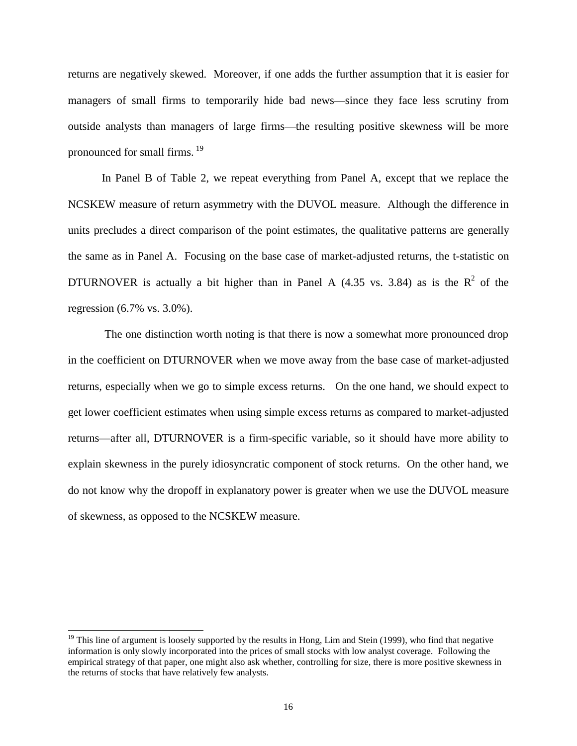returns are negatively skewed. Moreover, if one adds the further assumption that it is easier for managers of small firms to temporarily hide bad news—since they face less scrutiny from outside analysts than managers of large firms—the resulting positive skewness will be more pronounced for small firms.  $19$ 

In Panel B of Table 2, we repeat everything from Panel A, except that we replace the NCSKEW measure of return asymmetry with the DUVOL measure. Although the difference in units precludes a direct comparison of the point estimates, the qualitative patterns are generally the same as in Panel A. Focusing on the base case of market-adjusted returns, the t-statistic on DTURNOVER is actually a bit higher than in Panel A (4.35 vs. 3.84) as is the  $R^2$  of the regression (6.7% vs. 3.0%).

 The one distinction worth noting is that there is now a somewhat more pronounced drop in the coefficient on DTURNOVER when we move away from the base case of market-adjusted returns, especially when we go to simple excess returns. On the one hand, we should expect to get lower coefficient estimates when using simple excess returns as compared to market-adjusted returns—after all, DTURNOVER is a firm-specific variable, so it should have more ability to explain skewness in the purely idiosyncratic component of stock returns. On the other hand, we do not know why the dropoff in explanatory power is greater when we use the DUVOL measure of skewness, as opposed to the NCSKEW measure.

<sup>&</sup>lt;sup>19</sup> This line of argument is loosely supported by the results in Hong, Lim and Stein (1999), who find that negative information is only slowly incorporated into the prices of small stocks with low analyst coverage. Following the empirical strategy of that paper, one might also ask whether, controlling for size, there is more positive skewness in the returns of stocks that have relatively few analysts.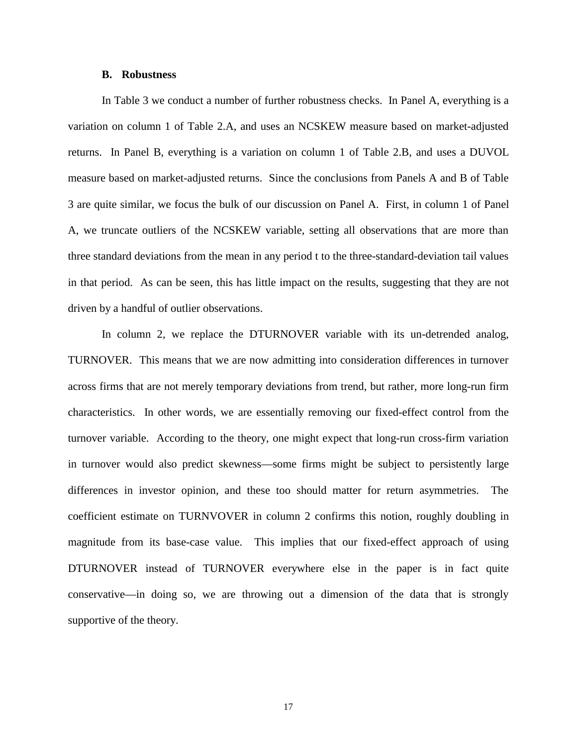### **B. Robustness**

In Table 3 we conduct a number of further robustness checks. In Panel A, everything is a variation on column 1 of Table 2.A, and uses an NCSKEW measure based on market-adjusted returns. In Panel B, everything is a variation on column 1 of Table 2.B, and uses a DUVOL measure based on market-adjusted returns. Since the conclusions from Panels A and B of Table 3 are quite similar, we focus the bulk of our discussion on Panel A. First, in column 1 of Panel A, we truncate outliers of the NCSKEW variable, setting all observations that are more than three standard deviations from the mean in any period t to the three-standard-deviation tail values in that period. As can be seen, this has little impact on the results, suggesting that they are not driven by a handful of outlier observations.

In column 2, we replace the DTURNOVER variable with its un-detrended analog, TURNOVER. This means that we are now admitting into consideration differences in turnover across firms that are not merely temporary deviations from trend, but rather, more long-run firm characteristics. In other words, we are essentially removing our fixed-effect control from the turnover variable. According to the theory, one might expect that long-run cross-firm variation in turnover would also predict skewness—some firms might be subject to persistently large differences in investor opinion, and these too should matter for return asymmetries. The coefficient estimate on TURNVOVER in column 2 confirms this notion, roughly doubling in magnitude from its base-case value. This implies that our fixed-effect approach of using DTURNOVER instead of TURNOVER everywhere else in the paper is in fact quite conservative—in doing so, we are throwing out a dimension of the data that is strongly supportive of the theory.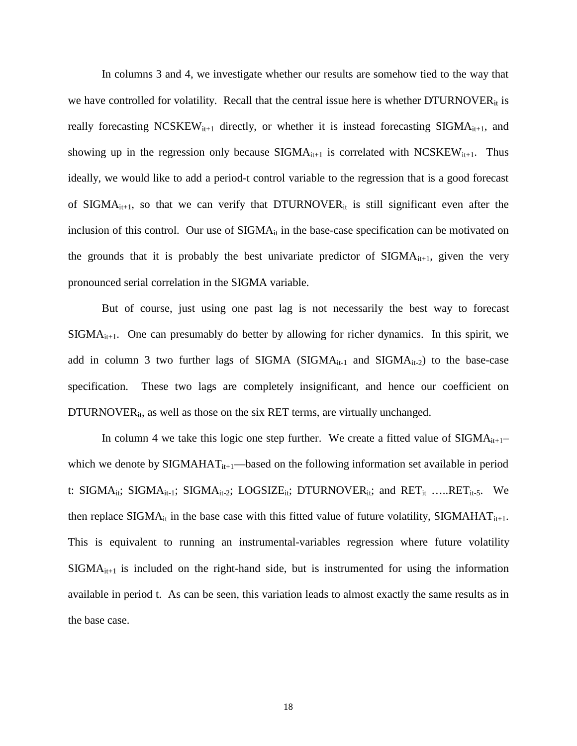In columns 3 and 4, we investigate whether our results are somehow tied to the way that we have controlled for volatility. Recall that the central issue here is whether  $DTURNOVER_{it}$  is really forecasting NCSKEW<sub>it+1</sub> directly, or whether it is instead forecasting SIGMA<sub>it+1</sub>, and showing up in the regression only because  $SIGMA<sub>it+1</sub>$  is correlated with  $NCSKEW<sub>it+1</sub>$ . Thus ideally, we would like to add a period-t control variable to the regression that is a good forecast of SIGMA<sub>it+1</sub>, so that we can verify that DTURNOVER<sub>it</sub> is still significant even after the inclusion of this control. Our use of SIGMA<sub>it</sub> in the base-case specification can be motivated on the grounds that it is probably the best univariate predictor of  $\text{SIGMA}_{it+1}$ , given the very pronounced serial correlation in the SIGMA variable.

But of course, just using one past lag is not necessarily the best way to forecast  $SIGMA<sub>it+1</sub>$ . One can presumably do better by allowing for richer dynamics. In this spirit, we add in column 3 two further lags of SIGMA (SIGMA $_{it-1}$  and SIGMA $_{it-2}$ ) to the base-case specification. These two lags are completely insignificant, and hence our coefficient on DTURNOVER $_{it}$ , as well as those on the six RET terms, are virtually unchanged.

In column 4 we take this logic one step further. We create a fitted value of  $\text{SIGMA}_{it+1}$ which we denote by  $\text{SIGMAHAT}_{it+1}$ —based on the following information set available in period t: SIGMA<sub>it</sub>; SIGMA<sub>it-1</sub>; SIGMA<sub>it-2</sub>; LOGSIZE<sub>it</sub>; DTURNOVER<sub>it</sub>; and RET<sub>it</sub> …..RET<sub>it-5</sub>. We then replace  $\text{SIGMA}_{it}$  in the base case with this fitted value of future volatility,  $\text{SIGMAHAT}_{it+1}$ . This is equivalent to running an instrumental-variables regression where future volatility  $SIGMA<sub>it+1</sub>$  is included on the right-hand side, but is instrumented for using the information available in period t. As can be seen, this variation leads to almost exactly the same results as in the base case.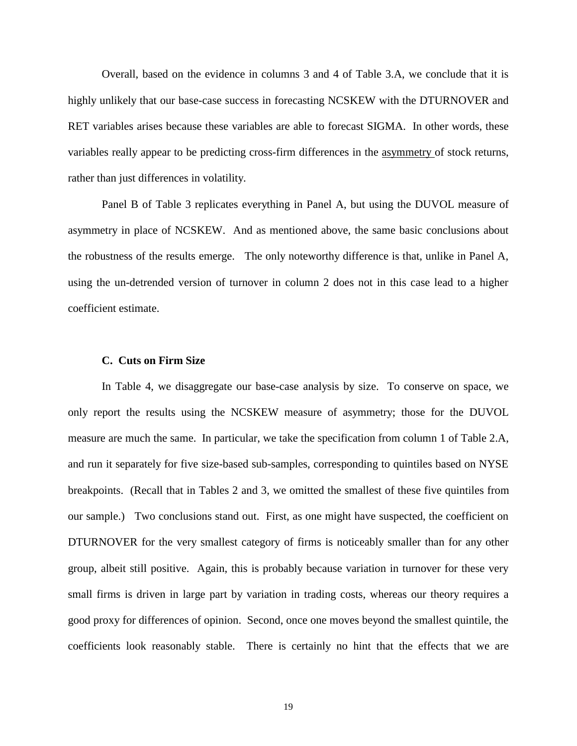Overall, based on the evidence in columns 3 and 4 of Table 3.A, we conclude that it is highly unlikely that our base-case success in forecasting NCSKEW with the DTURNOVER and RET variables arises because these variables are able to forecast SIGMA. In other words, these variables really appear to be predicting cross-firm differences in the asymmetry of stock returns, rather than just differences in volatility.

 Panel B of Table 3 replicates everything in Panel A, but using the DUVOL measure of asymmetry in place of NCSKEW. And as mentioned above, the same basic conclusions about the robustness of the results emerge. The only noteworthy difference is that, unlike in Panel A, using the un-detrended version of turnover in column 2 does not in this case lead to a higher coefficient estimate.

#### **C. Cuts on Firm Size**

In Table 4, we disaggregate our base-case analysis by size. To conserve on space, we only report the results using the NCSKEW measure of asymmetry; those for the DUVOL measure are much the same. In particular, we take the specification from column 1 of Table 2.A, and run it separately for five size-based sub-samples, corresponding to quintiles based on NYSE breakpoints. (Recall that in Tables 2 and 3, we omitted the smallest of these five quintiles from our sample.) Two conclusions stand out. First, as one might have suspected, the coefficient on DTURNOVER for the very smallest category of firms is noticeably smaller than for any other group, albeit still positive. Again, this is probably because variation in turnover for these very small firms is driven in large part by variation in trading costs, whereas our theory requires a good proxy for differences of opinion. Second, once one moves beyond the smallest quintile, the coefficients look reasonably stable. There is certainly no hint that the effects that we are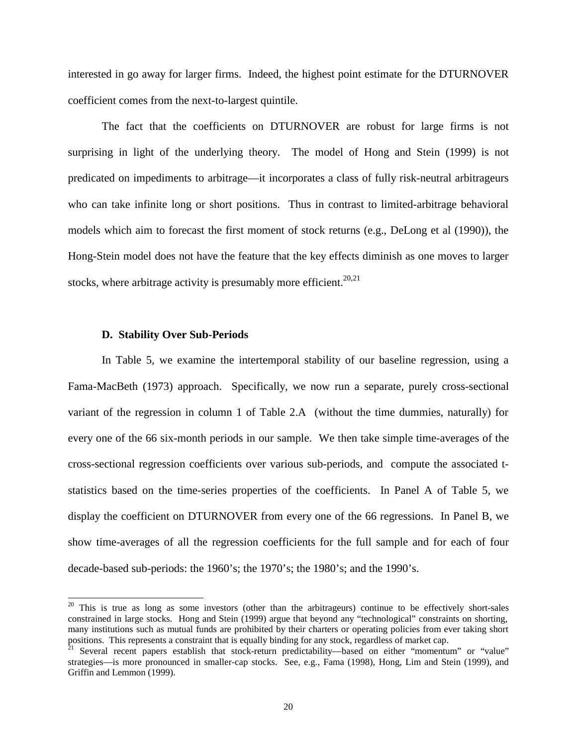interested in go away for larger firms. Indeed, the highest point estimate for the DTURNOVER coefficient comes from the next-to-largest quintile.

 The fact that the coefficients on DTURNOVER are robust for large firms is not surprising in light of the underlying theory. The model of Hong and Stein (1999) is not predicated on impediments to arbitrage—it incorporates a class of fully risk-neutral arbitrageurs who can take infinite long or short positions. Thus in contrast to limited-arbitrage behavioral models which aim to forecast the first moment of stock returns (e.g., DeLong et al (1990)), the Hong-Stein model does not have the feature that the key effects diminish as one moves to larger stocks, where arbitrage activity is presumably more efficient.<sup>20,21</sup>

### **D. Stability Over Sub-Periods**

 $\overline{a}$ 

In Table 5, we examine the intertemporal stability of our baseline regression, using a Fama-MacBeth (1973) approach. Specifically, we now run a separate, purely cross-sectional variant of the regression in column 1 of Table 2.A (without the time dummies, naturally) for every one of the 66 six-month periods in our sample. We then take simple time-averages of the cross-sectional regression coefficients over various sub-periods, and compute the associated tstatistics based on the time-series properties of the coefficients. In Panel A of Table 5, we display the coefficient on DTURNOVER from every one of the 66 regressions. In Panel B, we show time-averages of all the regression coefficients for the full sample and for each of four decade-based sub-periods: the 1960's; the 1970's; the 1980's; and the 1990's.

<sup>&</sup>lt;sup>20</sup> This is true as long as some investors (other than the arbitrageurs) continue to be effectively short-sales constrained in large stocks. Hong and Stein (1999) argue that beyond any "technological" constraints on shorting, many institutions such as mutual funds are prohibited by their charters or operating policies from ever taking short positions. This represents a constraint that is equally binding for any stock, regardless of market cap.

<sup>&</sup>lt;sup>21</sup> Several recent papers establish that stock-return predictability—based on either "momentum" or "value" strategies—is more pronounced in smaller-cap stocks. See, e.g., Fama (1998), Hong, Lim and Stein (1999), and Griffin and Lemmon (1999).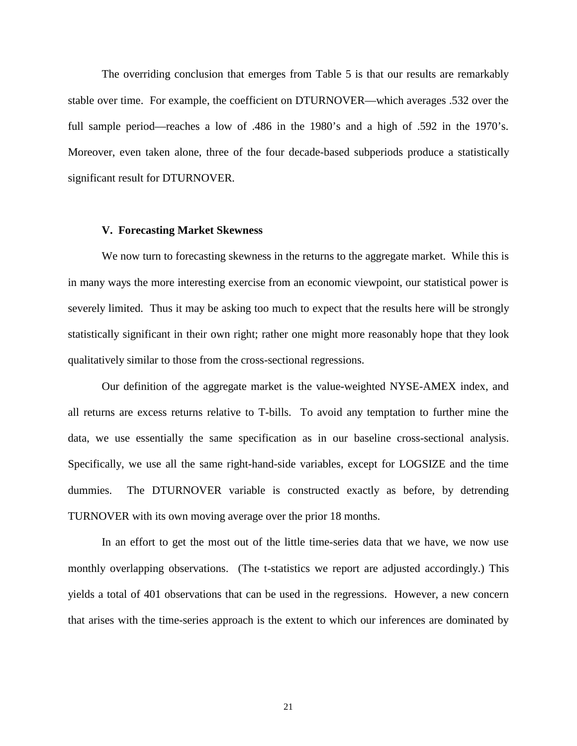The overriding conclusion that emerges from Table 5 is that our results are remarkably stable over time. For example, the coefficient on DTURNOVER—which averages .532 over the full sample period—reaches a low of .486 in the 1980's and a high of .592 in the 1970's. Moreover, even taken alone, three of the four decade-based subperiods produce a statistically significant result for DTURNOVER.

#### **V. Forecasting Market Skewness**

We now turn to forecasting skewness in the returns to the aggregate market. While this is in many ways the more interesting exercise from an economic viewpoint, our statistical power is severely limited. Thus it may be asking too much to expect that the results here will be strongly statistically significant in their own right; rather one might more reasonably hope that they look qualitatively similar to those from the cross-sectional regressions.

Our definition of the aggregate market is the value-weighted NYSE-AMEX index, and all returns are excess returns relative to T-bills. To avoid any temptation to further mine the data, we use essentially the same specification as in our baseline cross-sectional analysis. Specifically, we use all the same right-hand-side variables, except for LOGSIZE and the time dummies. The DTURNOVER variable is constructed exactly as before, by detrending TURNOVER with its own moving average over the prior 18 months.

In an effort to get the most out of the little time-series data that we have, we now use monthly overlapping observations. (The t-statistics we report are adjusted accordingly.) This yields a total of 401 observations that can be used in the regressions. However, a new concern that arises with the time-series approach is the extent to which our inferences are dominated by

21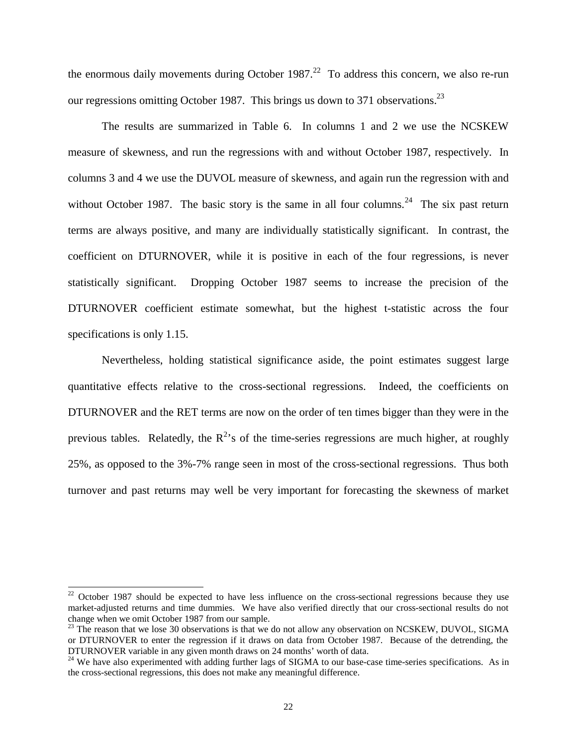the enormous daily movements during October  $1987<sup>22</sup>$  To address this concern, we also re-run our regressions omitting October 1987. This brings us down to 371 observations.<sup>23</sup>

 The results are summarized in Table 6. In columns 1 and 2 we use the NCSKEW measure of skewness, and run the regressions with and without October 1987, respectively. In columns 3 and 4 we use the DUVOL measure of skewness, and again run the regression with and without October 1987. The basic story is the same in all four columns.<sup>24</sup> The six past return terms are always positive, and many are individually statistically significant. In contrast, the coefficient on DTURNOVER, while it is positive in each of the four regressions, is never statistically significant. Dropping October 1987 seems to increase the precision of the DTURNOVER coefficient estimate somewhat, but the highest t-statistic across the four specifications is only 1.15.

 Nevertheless, holding statistical significance aside, the point estimates suggest large quantitative effects relative to the cross-sectional regressions. Indeed, the coefficients on DTURNOVER and the RET terms are now on the order of ten times bigger than they were in the previous tables. Relatedly, the  $R^2$ 's of the time-series regressions are much higher, at roughly 25%, as opposed to the 3%-7% range seen in most of the cross-sectional regressions. Thus both turnover and past returns may well be very important for forecasting the skewness of market

 $22$  October 1987 should be expected to have less influence on the cross-sectional regressions because they use market-adjusted returns and time dummies. We have also verified directly that our cross-sectional results do not change when we omit October 1987 from our sample.

 $^{23}$  The reason that we lose 30 observations is that we do not allow any observation on NCSKEW, DUVOL, SIGMA or DTURNOVER to enter the regression if it draws on data from October 1987. Because of the detrending, the DTURNOVER variable in any given month draws on 24 months' worth of data.

<sup>&</sup>lt;sup>24</sup> We have also experimented with adding further lags of SIGMA to our base-case time-series specifications. As in the cross-sectional regressions, this does not make any meaningful difference.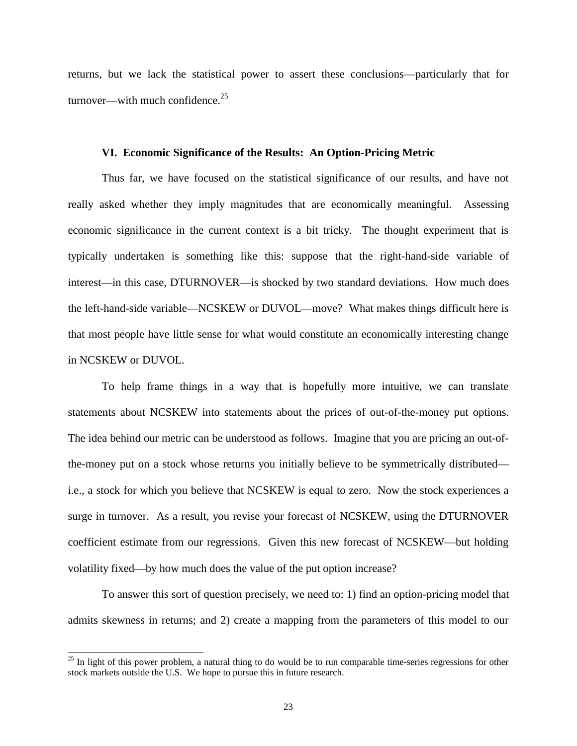returns, but we lack the statistical power to assert these conclusions—particularly that for turnover—with much confidence. $25$ 

### **VI. Economic Significance of the Results: An Option-Pricing Metric**

Thus far, we have focused on the statistical significance of our results, and have not really asked whether they imply magnitudes that are economically meaningful. Assessing economic significance in the current context is a bit tricky. The thought experiment that is typically undertaken is something like this: suppose that the right-hand-side variable of interest—in this case, DTURNOVER—is shocked by two standard deviations. How much does the left-hand-side variable—NCSKEW or DUVOL—move? What makes things difficult here is that most people have little sense for what would constitute an economically interesting change in NCSKEW or DUVOL.

To help frame things in a way that is hopefully more intuitive, we can translate statements about NCSKEW into statements about the prices of out-of-the-money put options. The idea behind our metric can be understood as follows. Imagine that you are pricing an out-ofthe-money put on a stock whose returns you initially believe to be symmetrically distributed i.e., a stock for which you believe that NCSKEW is equal to zero. Now the stock experiences a surge in turnover. As a result, you revise your forecast of NCSKEW, using the DTURNOVER coefficient estimate from our regressions. Given this new forecast of NCSKEW—but holding volatility fixed—by how much does the value of the put option increase?

To answer this sort of question precisely, we need to: 1) find an option-pricing model that admits skewness in returns; and 2) create a mapping from the parameters of this model to our

 $25$  In light of this power problem, a natural thing to do would be to run comparable time-series regressions for other stock markets outside the U.S. We hope to pursue this in future research.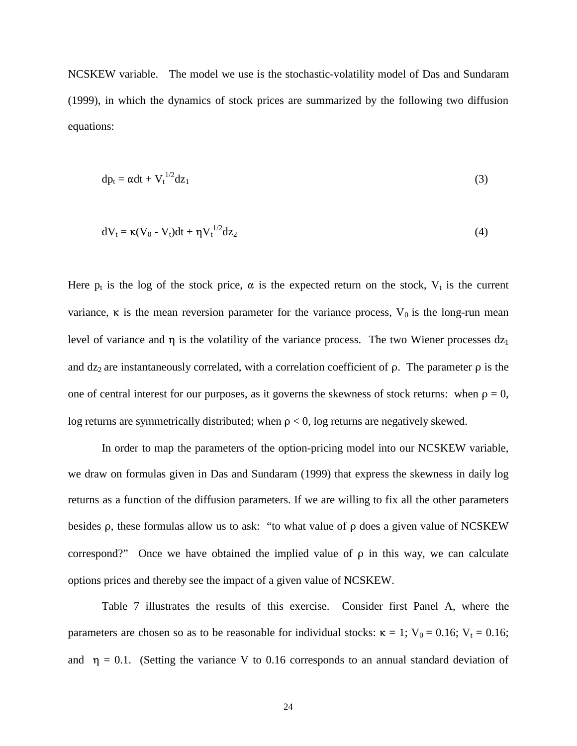NCSKEW variable. The model we use is the stochastic-volatility model of Das and Sundaram (1999), in which the dynamics of stock prices are summarized by the following two diffusion equations:

$$
dp_t = \alpha dt + V_t^{1/2} dz_1 \tag{3}
$$

$$
dV_t = \kappa (V_0 - V_t) dt + \eta V_t^{1/2} dz_2
$$
\n
$$
\tag{4}
$$

Here  $p_t$  is the log of the stock price,  $\alpha$  is the expected return on the stock,  $V_t$  is the current variance,  $\kappa$  is the mean reversion parameter for the variance process,  $V_0$  is the long-run mean level of variance and  $\eta$  is the volatility of the variance process. The two Wiener processes  $dz_1$ and  $dz_2$  are instantaneously correlated, with a correlation coefficient of  $\rho$ . The parameter  $\rho$  is the one of central interest for our purposes, as it governs the skewness of stock returns: when  $\rho = 0$ , log returns are symmetrically distributed; when  $\rho < 0$ , log returns are negatively skewed.

 In order to map the parameters of the option-pricing model into our NCSKEW variable, we draw on formulas given in Das and Sundaram (1999) that express the skewness in daily log returns as a function of the diffusion parameters. If we are willing to fix all the other parameters besides  $\rho$ , these formulas allow us to ask: "to what value of  $\rho$  does a given value of NCSKEW correspond?" Once we have obtained the implied value of  $\rho$  in this way, we can calculate options prices and thereby see the impact of a given value of NCSKEW.

 Table 7 illustrates the results of this exercise. Consider first Panel A, where the parameters are chosen so as to be reasonable for individual stocks:  $\kappa = 1$ ;  $V_0 = 0.16$ ;  $V_t = 0.16$ ; and  $\eta = 0.1$ . (Setting the variance V to 0.16 corresponds to an annual standard deviation of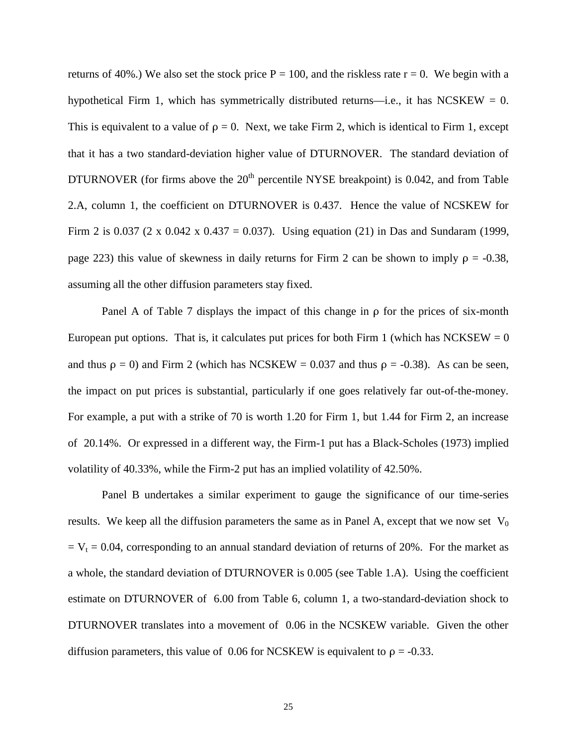returns of 40%.) We also set the stock price  $P = 100$ , and the riskless rate  $r = 0$ . We begin with a hypothetical Firm 1, which has symmetrically distributed returns—i.e., it has NCSKEW =  $0$ . This is equivalent to a value of  $\rho = 0$ . Next, we take Firm 2, which is identical to Firm 1, except that it has a two standard-deviation higher value of DTURNOVER. The standard deviation of DTURNOVER (for firms above the  $20<sup>th</sup>$  percentile NYSE breakpoint) is 0.042, and from Table 2.A, column 1, the coefficient on DTURNOVER is 0.437. Hence the value of NCSKEW for Firm 2 is 0.037 (2 x 0.042 x 0.437 = 0.037). Using equation (21) in Das and Sundaram (1999, page 223) this value of skewness in daily returns for Firm 2 can be shown to imply  $\rho = -0.38$ , assuming all the other diffusion parameters stay fixed.

Panel A of Table 7 displays the impact of this change in  $\rho$  for the prices of six-month European put options. That is, it calculates put prices for both Firm 1 (which has NCKSEW  $= 0$ ) and thus  $\rho = 0$ ) and Firm 2 (which has NCSKEW = 0.037 and thus  $\rho = -0.38$ ). As can be seen, the impact on put prices is substantial, particularly if one goes relatively far out-of-the-money. For example, a put with a strike of 70 is worth 1.20 for Firm 1, but 1.44 for Firm 2, an increase of 20.14%. Or expressed in a different way, the Firm-1 put has a Black-Scholes (1973) implied volatility of 40.33%, while the Firm-2 put has an implied volatility of 42.50%.

Panel B undertakes a similar experiment to gauge the significance of our time-series results. We keep all the diffusion parameters the same as in Panel A, except that we now set  $V_0$  $= V_t = 0.04$ , corresponding to an annual standard deviation of returns of 20%. For the market as a whole, the standard deviation of DTURNOVER is 0.005 (see Table 1.A). Using the coefficient estimate on DTURNOVER of 6.00 from Table 6, column 1, a two-standard-deviation shock to DTURNOVER translates into a movement of 0.06 in the NCSKEW variable. Given the other diffusion parameters, this value of 0.06 for NCSKEW is equivalent to  $\rho = -0.33$ .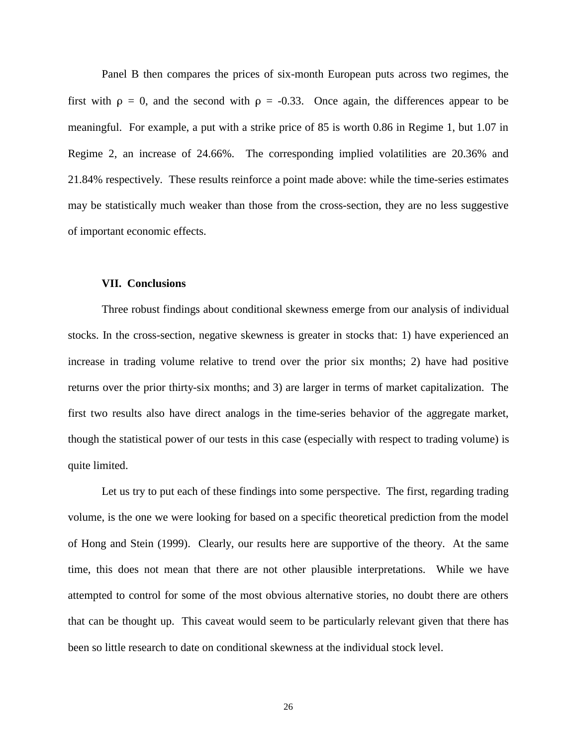Panel B then compares the prices of six-month European puts across two regimes, the first with  $\rho = 0$ , and the second with  $\rho = -0.33$ . Once again, the differences appear to be meaningful. For example, a put with a strike price of 85 is worth 0.86 in Regime 1, but 1.07 in Regime 2, an increase of 24.66%. The corresponding implied volatilities are 20.36% and 21.84% respectively. These results reinforce a point made above: while the time-series estimates may be statistically much weaker than those from the cross-section, they are no less suggestive of important economic effects.

#### **VII. Conclusions**

Three robust findings about conditional skewness emerge from our analysis of individual stocks. In the cross-section, negative skewness is greater in stocks that: 1) have experienced an increase in trading volume relative to trend over the prior six months; 2) have had positive returns over the prior thirty-six months; and 3) are larger in terms of market capitalization. The first two results also have direct analogs in the time-series behavior of the aggregate market, though the statistical power of our tests in this case (especially with respect to trading volume) is quite limited.

Let us try to put each of these findings into some perspective. The first, regarding trading volume, is the one we were looking for based on a specific theoretical prediction from the model of Hong and Stein (1999). Clearly, our results here are supportive of the theory. At the same time, this does not mean that there are not other plausible interpretations. While we have attempted to control for some of the most obvious alternative stories, no doubt there are others that can be thought up. This caveat would seem to be particularly relevant given that there has been so little research to date on conditional skewness at the individual stock level.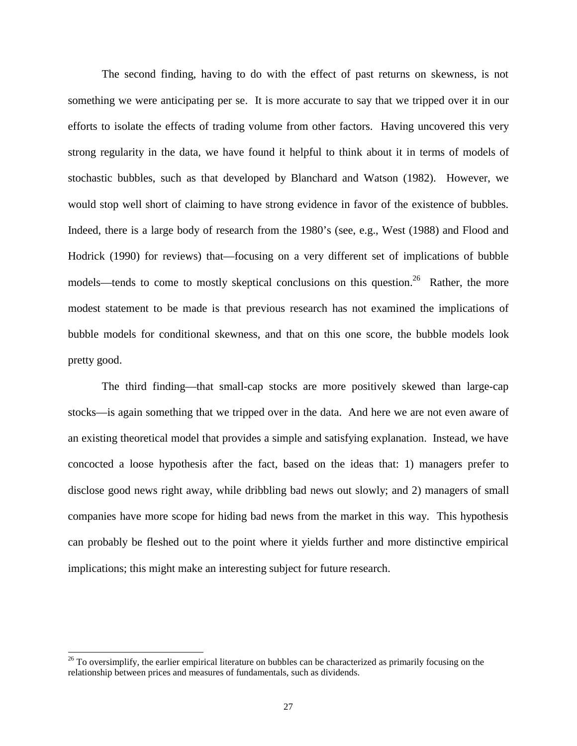The second finding, having to do with the effect of past returns on skewness, is not something we were anticipating per se. It is more accurate to say that we tripped over it in our efforts to isolate the effects of trading volume from other factors. Having uncovered this very strong regularity in the data, we have found it helpful to think about it in terms of models of stochastic bubbles, such as that developed by Blanchard and Watson (1982). However, we would stop well short of claiming to have strong evidence in favor of the existence of bubbles. Indeed, there is a large body of research from the 1980's (see, e.g., West (1988) and Flood and Hodrick (1990) for reviews) that—focusing on a very different set of implications of bubble models—tends to come to mostly skeptical conclusions on this question.<sup>26</sup> Rather, the more modest statement to be made is that previous research has not examined the implications of bubble models for conditional skewness, and that on this one score, the bubble models look pretty good.

The third finding—that small-cap stocks are more positively skewed than large-cap stocks—is again something that we tripped over in the data. And here we are not even aware of an existing theoretical model that provides a simple and satisfying explanation. Instead, we have concocted a loose hypothesis after the fact, based on the ideas that: 1) managers prefer to disclose good news right away, while dribbling bad news out slowly; and 2) managers of small companies have more scope for hiding bad news from the market in this way. This hypothesis can probably be fleshed out to the point where it yields further and more distinctive empirical implications; this might make an interesting subject for future research.

 $26$  To oversimplify, the earlier empirical literature on bubbles can be characterized as primarily focusing on the relationship between prices and measures of fundamentals, such as dividends.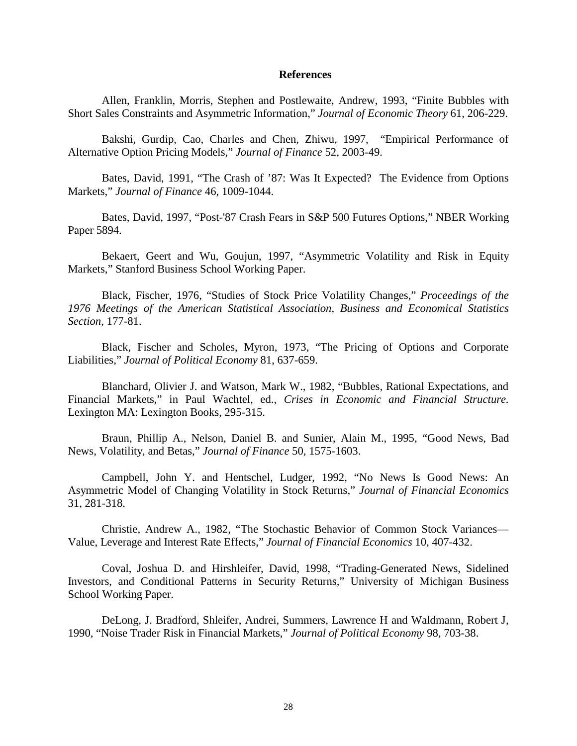### **References**

Allen, Franklin, Morris, Stephen and Postlewaite, Andrew, 1993, "Finite Bubbles with Short Sales Constraints and Asymmetric Information," *Journal of Economic Theory* 61, 206-229.

Bakshi, Gurdip, Cao, Charles and Chen, Zhiwu, 1997, "Empirical Performance of Alternative Option Pricing Models," *Journal of Finance* 52, 2003-49.

 Bates, David, 1991, "The Crash of '87: Was It Expected? The Evidence from Options Markets," *Journal of Finance* 46, 1009-1044.

Bates, David, 1997, "Post-'87 Crash Fears in S&P 500 Futures Options," NBER Working Paper 5894.

Bekaert, Geert and Wu, Goujun, 1997, "Asymmetric Volatility and Risk in Equity Markets," Stanford Business School Working Paper.

Black, Fischer, 1976, "Studies of Stock Price Volatility Changes," *Proceedings of the 1976 Meetings of the American Statistical Association, Business and Economical Statistics Section*, 177-81.

Black, Fischer and Scholes, Myron, 1973, "The Pricing of Options and Corporate Liabilities," *Journal of Political Economy* 81, 637-659.

Blanchard, Olivier J. and Watson, Mark W., 1982, "Bubbles, Rational Expectations, and Financial Markets," in Paul Wachtel, ed., *Crises in Economic and Financial Structure.* Lexington MA: Lexington Books, 295-315.

Braun, Phillip A., Nelson, Daniel B. and Sunier, Alain M., 1995, "Good News, Bad News, Volatility, and Betas," *Journal of Finance* 50, 1575-1603.

Campbell, John Y. and Hentschel, Ludger, 1992, "No News Is Good News: An Asymmetric Model of Changing Volatility in Stock Returns," *Journal of Financial Economics* 31, 281-318.

Christie, Andrew A., 1982, "The Stochastic Behavior of Common Stock Variances— Value, Leverage and Interest Rate Effects," *Journal of Financial Economics* 10, 407-432.

Coval, Joshua D. and Hirshleifer, David, 1998, "Trading-Generated News, Sidelined Investors, and Conditional Patterns in Security Returns," University of Michigan Business School Working Paper.

DeLong, J. Bradford, Shleifer, Andrei, Summers, Lawrence H and Waldmann, Robert J, 1990, "Noise Trader Risk in Financial Markets," *Journal of Political Economy* 98, 703-38.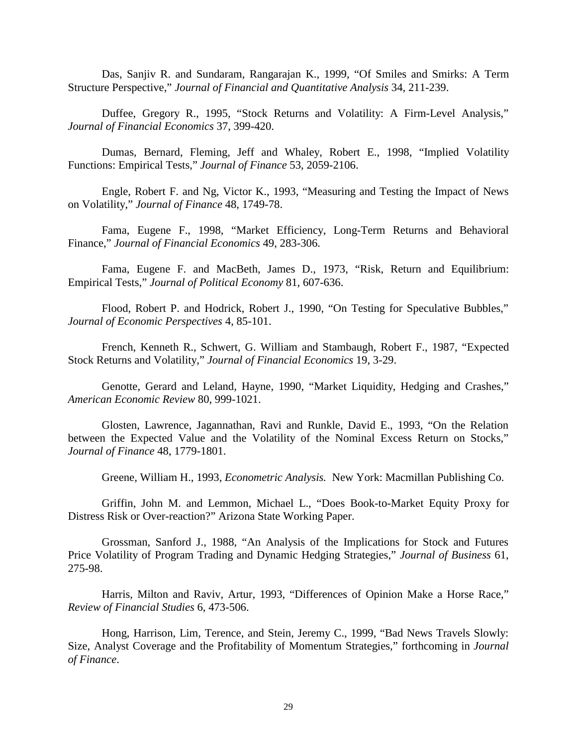Das, Sanjiv R. and Sundaram, Rangarajan K., 1999, "Of Smiles and Smirks: A Term Structure Perspective," *Journal of Financial and Quantitative Analysis* 34, 211-239.

Duffee, Gregory R., 1995, "Stock Returns and Volatility: A Firm-Level Analysis," *Journal of Financial Economics* 37, 399-420.

Dumas, Bernard, Fleming, Jeff and Whaley, Robert E., 1998, "Implied Volatility Functions: Empirical Tests," *Journal of Finance* 53, 2059-2106.

Engle, Robert F. and Ng, Victor K., 1993, "Measuring and Testing the Impact of News on Volatility," *Journal of Finance* 48, 1749-78.

 Fama, Eugene F., 1998, "Market Efficiency, Long-Term Returns and Behavioral Finance," *Journal of Financial Economics* 49, 283-306.

Fama, Eugene F. and MacBeth, James D., 1973, "Risk, Return and Equilibrium: Empirical Tests," *Journal of Political Economy* 81, 607-636.

Flood, Robert P. and Hodrick, Robert J., 1990, "On Testing for Speculative Bubbles," *Journal of Economic Perspectives* 4, 85-101.

French, Kenneth R., Schwert, G. William and Stambaugh, Robert F., 1987, "Expected Stock Returns and Volatility," *Journal of Financial Economics* 19, 3-29.

Genotte, Gerard and Leland, Hayne, 1990, "Market Liquidity, Hedging and Crashes," *American Economic Review* 80, 999-1021.

Glosten, Lawrence, Jagannathan, Ravi and Runkle, David E., 1993, "On the Relation between the Expected Value and the Volatility of the Nominal Excess Return on Stocks," *Journal of Finance* 48, 1779-1801.

Greene, William H., 1993, *Econometric Analysis.* New York: Macmillan Publishing Co.

Griffin, John M. and Lemmon, Michael L., "Does Book-to-Market Equity Proxy for Distress Risk or Over-reaction?" Arizona State Working Paper.

Grossman, Sanford J., 1988, "An Analysis of the Implications for Stock and Futures Price Volatility of Program Trading and Dynamic Hedging Strategies," *Journal of Business* 61, 275-98.

Harris, Milton and Raviv, Artur, 1993, "Differences of Opinion Make a Horse Race," *Review of Financial Studies* 6, 473-506.

Hong, Harrison, Lim, Terence, and Stein, Jeremy C., 1999, "Bad News Travels Slowly: Size, Analyst Coverage and the Profitability of Momentum Strategies," forthcoming in *Journal of Finance*.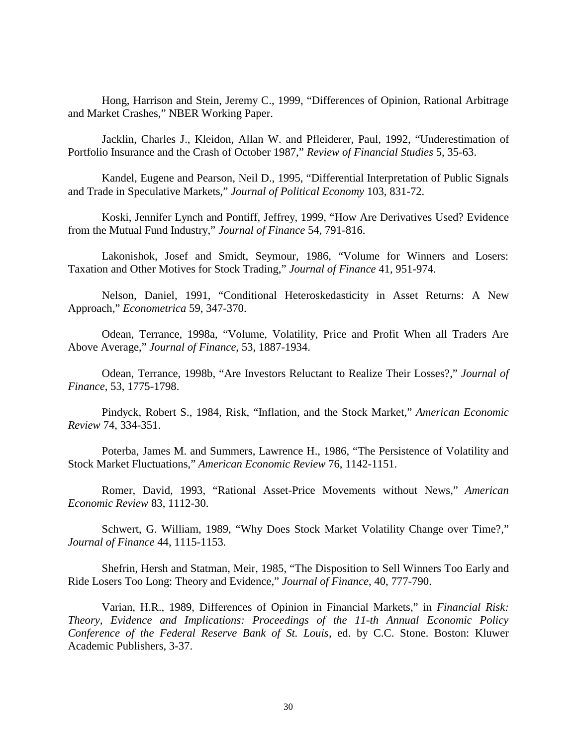Hong, Harrison and Stein, Jeremy C., 1999, "Differences of Opinion, Rational Arbitrage and Market Crashes," NBER Working Paper.

Jacklin, Charles J., Kleidon, Allan W. and Pfleiderer, Paul, 1992, "Underestimation of Portfolio Insurance and the Crash of October 1987," *Review of Financial Studies* 5, 35-63.

Kandel, Eugene and Pearson, Neil D., 1995, "Differential Interpretation of Public Signals and Trade in Speculative Markets," *Journal of Political Economy* 103, 831-72.

Koski, Jennifer Lynch and Pontiff, Jeffrey, 1999, "How Are Derivatives Used? Evidence from the Mutual Fund Industry," *Journal of Finance* 54, 791-816.

Lakonishok, Josef and Smidt, Seymour, 1986, "Volume for Winners and Losers: Taxation and Other Motives for Stock Trading," *Journal of Finance* 41, 951-974.

Nelson, Daniel, 1991, "Conditional Heteroskedasticity in Asset Returns: A New Approach," *Econometrica* 59, 347-370.

Odean, Terrance, 1998a, "Volume, Volatility, Price and Profit When all Traders Are Above Average," *Journal of Finance*, 53, 1887-1934.

Odean, Terrance, 1998b, "Are Investors Reluctant to Realize Their Losses?," *Journal of Finance*, 53, 1775-1798.

Pindyck, Robert S., 1984, Risk, "Inflation, and the Stock Market," *American Economic Review* 74, 334-351.

Poterba, James M. and Summers, Lawrence H., 1986, "The Persistence of Volatility and Stock Market Fluctuations," *American Economic Review* 76, 1142-1151.

Romer, David, 1993, "Rational Asset-Price Movements without News," *American Economic Review* 83, 1112-30.

Schwert, G. William, 1989, "Why Does Stock Market Volatility Change over Time?," *Journal of Finance* 44, 1115-1153.

Shefrin, Hersh and Statman, Meir, 1985, "The Disposition to Sell Winners Too Early and Ride Losers Too Long: Theory and Evidence," *Journal of Finance*, 40, 777-790.

Varian, H.R., 1989, Differences of Opinion in Financial Markets," in *Financial Risk: Theory, Evidence and Implications: Proceedings of the 11-th Annual Economic Policy Conference of the Federal Reserve Bank of St. Louis*, ed. by C.C. Stone. Boston: Kluwer Academic Publishers, 3-37.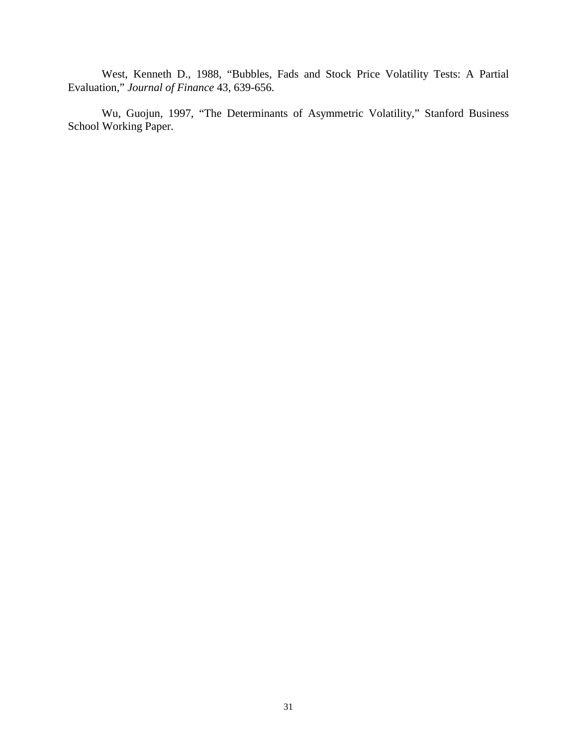West, Kenneth D., 1988, "Bubbles, Fads and Stock Price Volatility Tests: A Partial Evaluation," *Journal of Finance* 43, 639-656.

Wu, Guojun, 1997, "The Determinants of Asymmetric Volatility," Stanford Business School Working Paper.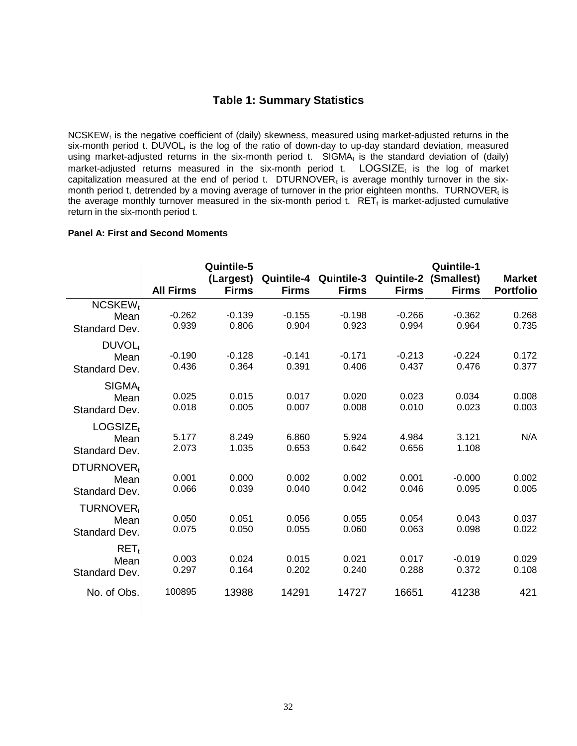### **Table 1: Summary Statistics**

 $NCSKEW<sub>t</sub>$  is the negative coefficient of (daily) skewness, measured using market-adjusted returns in the six-month period t. DUVOL<sub>t</sub> is the log of the ratio of down-day to up-day standard deviation, measured using market-adjusted returns in the six-month period t.  $SIGMA_t$  is the standard deviation of (daily) market-adjusted returns measured in the six-month period t.  $LOGSIZE<sub>t</sub>$  is the log of market capitalization measured at the end of period t. DTURNOVER<sub>t</sub> is average monthly turnover in the sixmonth period t, detrended by a moving average of turnover in the prior eighteen months. TURNOVER<sub>t</sub> is the average monthly turnover measured in the six-month period t.  $RET<sub>t</sub>$  is market-adjusted cumulative return in the six-month period t.

### **Panel A: First and Second Moments**

|                                                 | <b>All Firms</b>  | Quintile-5<br>(Largest)<br><b>Firms</b> | <b>Firms</b>      | Quintile-4 Quintile-3 Quintile-2<br><b>Firms</b> | <b>Firms</b>      | <b>Quintile-1</b><br>(Smallest)<br><b>Firms</b> | <b>Market</b><br><b>Portfolio</b> |
|-------------------------------------------------|-------------------|-----------------------------------------|-------------------|--------------------------------------------------|-------------------|-------------------------------------------------|-----------------------------------|
| NCSKEW <sub>1</sub><br>Mean<br>Standard Dev.    | $-0.262$<br>0.939 | $-0.139$<br>0.806                       | $-0.155$<br>0.904 | $-0.198$<br>0.923                                | $-0.266$<br>0.994 | $-0.362$<br>0.964                               | 0.268<br>0.735                    |
| DUVOL <sub>t</sub><br>Mean<br>Standard Dev.     | $-0.190$<br>0.436 | $-0.128$<br>0.364                       | $-0.141$<br>0.391 | $-0.171$<br>0.406                                | $-0.213$<br>0.437 | $-0.224$<br>0.476                               | 0.172<br>0.377                    |
| SIGMA <sub>t</sub><br>Mean<br>Standard Dev.     | 0.025<br>0.018    | 0.015<br>0.005                          | 0.017<br>0.007    | 0.020<br>0.008                                   | 0.023<br>0.010    | 0.034<br>0.023                                  | 0.008<br>0.003                    |
| $LOGSIZE_t$<br>Mean<br>Standard Dev.            | 5.177<br>2.073    | 8.249<br>1.035                          | 6.860<br>0.653    | 5.924<br>0.642                                   | 4.984<br>0.656    | 3.121<br>1.108                                  | N/A                               |
| DTURNOVER <sub>t</sub><br>Mean<br>Standard Dev. | 0.001<br>0.066    | 0.000<br>0.039                          | 0.002<br>0.040    | 0.002<br>0.042                                   | 0.001<br>0.046    | $-0.000$<br>0.095                               | 0.002<br>0.005                    |
| <b>TURNOVER</b><br>Mean<br>Standard Dev.        | 0.050<br>0.075    | 0.051<br>0.050                          | 0.056<br>0.055    | 0.055<br>0.060                                   | 0.054<br>0.063    | 0.043<br>0.098                                  | 0.037<br>0.022                    |
| $RET_t$<br>Mean<br>Standard Dev.                | 0.003<br>0.297    | 0.024<br>0.164                          | 0.015<br>0.202    | 0.021<br>0.240                                   | 0.017<br>0.288    | $-0.019$<br>0.372                               | 0.029<br>0.108                    |
| No. of Obs.                                     | 100895            | 13988                                   | 14291             | 14727                                            | 16651             | 41238                                           | 421                               |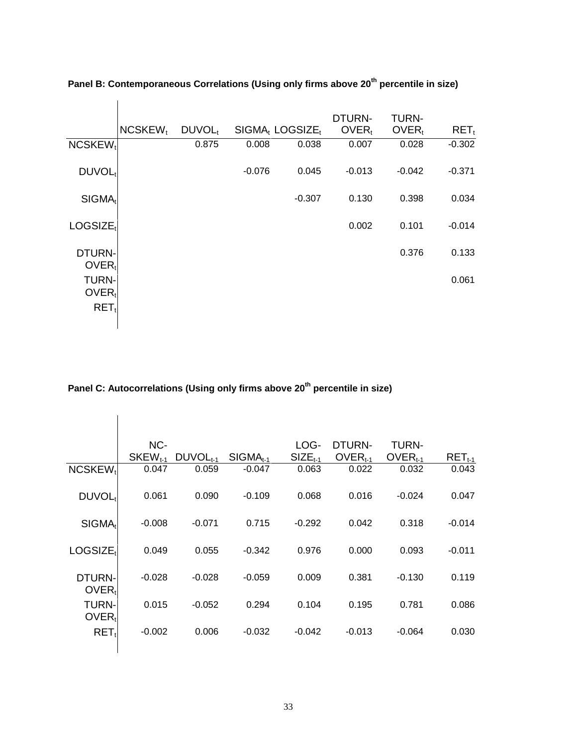|                                   |                     |                    |          |                                         | DTURN-            | <b>TURN-</b>      |          |
|-----------------------------------|---------------------|--------------------|----------|-----------------------------------------|-------------------|-------------------|----------|
|                                   | NCSKEW <sub>t</sub> | DUVOL <sub>t</sub> |          | SIGMA <sub>t</sub> LOGSIZE <sub>t</sub> | OVER <sub>t</sub> | OVER <sub>t</sub> | $RET_t$  |
| $NCSKEW_t$                        |                     | 0.875              | 0.008    | 0.038                                   | 0.007             | 0.028             | $-0.302$ |
| DUVOL <sub>t</sub>                |                     |                    | $-0.076$ | 0.045                                   | $-0.013$          | $-0.042$          | $-0.371$ |
| SIGMA <sub>t</sub>                |                     |                    |          | $-0.307$                                | 0.130             | 0.398             | 0.034    |
| LOGSIZE <sub>t</sub>              |                     |                    |          |                                         | 0.002             | 0.101             | $-0.014$ |
| DTURN-<br>$OVER_t$                |                     |                    |          |                                         |                   | 0.376             | 0.133    |
| <b>TURN-</b><br>OVER <sub>t</sub> |                     |                    |          |                                         |                   |                   | 0.061    |
| $RET_t$                           |                     |                    |          |                                         |                   |                   |          |

**Panel B: Contemporaneous Correlations (Using only firms above 20th percentile in size)** 

# **Panel C: Autocorrelations (Using only firms above 20th percentile in size)**

|                                   | NC-<br>SKEW <sub>t-1</sub> | $DUVOLt-1$ | $SIGMA_{t-1}$ | LOG-<br>$SIZE_{t-1}$ | DTURN-<br>$OVERt-1$ | TURN-<br>$OVERt-1$ | $RET_{t-1}$ |
|-----------------------------------|----------------------------|------------|---------------|----------------------|---------------------|--------------------|-------------|
| NCSKEW <sub>t</sub>               | 0.047                      | 0.059      | $-0.047$      | 0.063                | 0.022               | 0.032              | 0.043       |
| DUVOL <sub>t</sub>                | 0.061                      | 0.090      | $-0.109$      | 0.068                | 0.016               | $-0.024$           | 0.047       |
| SIGMA <sub>t</sub>                | $-0.008$                   | $-0.071$   | 0.715         | $-0.292$             | 0.042               | 0.318              | $-0.014$    |
| LOGSIZE <sub>1</sub>              | 0.049                      | 0.055      | $-0.342$      | 0.976                | 0.000               | 0.093              | $-0.011$    |
| DTURN-<br>OVER <sub>t</sub>       | $-0.028$                   | $-0.028$   | $-0.059$      | 0.009                | 0.381               | $-0.130$           | 0.119       |
| <b>TURN-</b><br>OVER <sub>t</sub> | 0.015                      | $-0.052$   | 0.294         | 0.104                | 0.195               | 0.781              | 0.086       |
| $RET_t$                           | $-0.002$                   | 0.006      | $-0.032$      | $-0.042$             | $-0.013$            | $-0.064$           | 0.030       |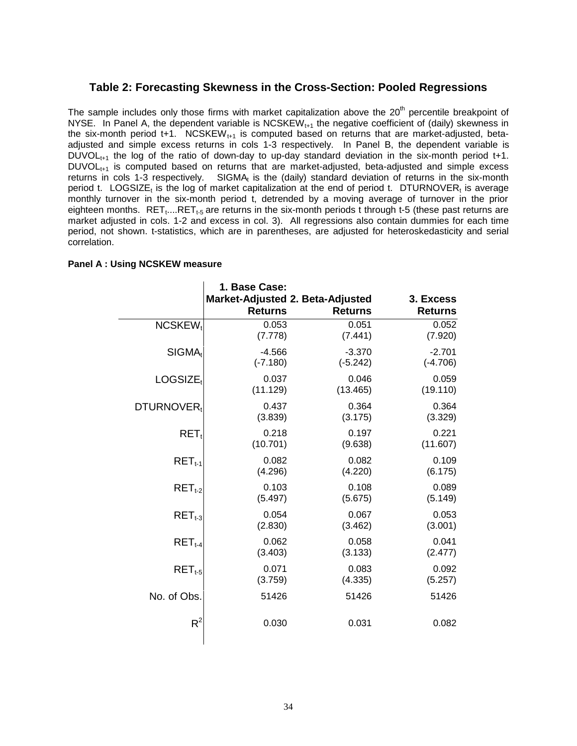### **Table 2: Forecasting Skewness in the Cross-Section: Pooled Regressions**

The sample includes only those firms with market capitalization above the  $20<sup>th</sup>$  percentile breakpoint of NYSE. In Panel A, the dependent variable is  $NCSKEW_{t+1}$  the negative coefficient of (daily) skewness in the six-month period t+1. NCSKEW<sub>t+1</sub> is computed based on returns that are market-adjusted, betaadjusted and simple excess returns in cols 1-3 respectively. In Panel B, the dependent variable is  $DUVOL_{t+1}$  the log of the ratio of down-day to up-day standard deviation in the six-month period t+1.  $DUVOL<sub>t+1</sub>$  is computed based on returns that are market-adjusted, beta-adjusted and simple excess returns in cols 1-3 respectively. SIGMA $<sub>t</sub>$  is the (daily) standard deviation of returns in the six-month</sub> period t. LOGSIZE<sub>t</sub> is the log of market capitalization at the end of period t. DTURNOVER<sub>t</sub> is average monthly turnover in the six-month period t, detrended by a moving average of turnover in the prior eighteen months.  $RET_t...RET_{t-5}$  are returns in the six-month periods t through t-5 (these past returns are market adjusted in cols. 1-2 and excess in col. 3). All regressions also contain dummies for each time period, not shown. t-statistics, which are in parentheses, are adjusted for heteroskedasticity and serial correlation.

#### **Panel A : Using NCSKEW measure**

|                        | 1. Base Case:                                      |                |                             |
|------------------------|----------------------------------------------------|----------------|-----------------------------|
|                        | Market-Adjusted 2. Beta-Adjusted<br><b>Returns</b> | <b>Returns</b> | 3. Excess<br><b>Returns</b> |
| NCSKEW <sub>t</sub>    | 0.053                                              | 0.051          | 0.052                       |
|                        | (7.778)                                            | (7.441)        | (7.920)                     |
| $SIGMA_t$              | $-4.566$                                           | $-3.370$       | $-2.701$                    |
|                        | $(-7.180)$                                         | $(-5.242)$     | $(-4.706)$                  |
| $LOGSIZE_t$            | 0.037                                              | 0.046          | 0.059                       |
|                        | (11.129)                                           | (13.465)       | (19.110)                    |
| DTURNOVER <sub>t</sub> | 0.437                                              | 0.364          | 0.364                       |
|                        | (3.839)                                            | (3.175)        | (3.329)                     |
| $RET_t$                | 0.218                                              | 0.197          | 0.221                       |
|                        | (10.701)                                           | (9.638)        | (11.607)                    |
| $RET_{t-1}$            | 0.082                                              | 0.082          | 0.109                       |
|                        | (4.296)                                            | (4.220)        | (6.175)                     |
| $RET_{t-2}$            | 0.103                                              | 0.108          | 0.089                       |
|                        | (5.497)                                            | (5.675)        | (5.149)                     |
| $RET_{t-3}$            | 0.054                                              | 0.067          | 0.053                       |
|                        | (2.830)                                            | (3.462)        | (3.001)                     |
| $RET_{t-4}$            | 0.062                                              | 0.058          | 0.041                       |
|                        | (3.403)                                            | (3.133)        | (2.477)                     |
| $RET_{t-5}$            | 0.071                                              | 0.083          | 0.092                       |
|                        | (3.759)                                            | (4.335)        | (5.257)                     |
| No. of Obs.            | 51426                                              | 51426          | 51426                       |
| $R^2$                  | 0.030                                              | 0.031          | 0.082                       |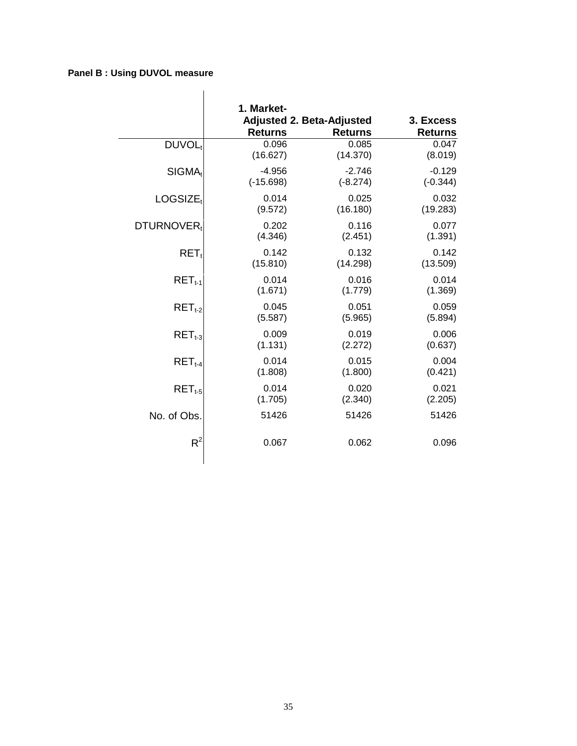### **Panel B : Using DUVOL measure**

|                        | 1. Market-     | <b>Adjusted 2. Beta-Adjusted</b> | 3. Excess      |
|------------------------|----------------|----------------------------------|----------------|
|                        | <b>Returns</b> | <b>Returns</b>                   | <b>Returns</b> |
| DUVOL <sub>t</sub>     | 0.096          | 0.085                            | 0.047          |
|                        | (16.627)       | (14.370)                         | (8.019)        |
| SIGMA <sub>t</sub>     | $-4.956$       | $-2.746$                         | $-0.129$       |
|                        | $(-15.698)$    | $(-8.274)$                       | $(-0.344)$     |
| LOGSIZE <sub>t</sub>   | 0.014          | 0.025                            | 0.032          |
|                        | (9.572)        | (16.180)                         | (19.283)       |
| DTURNOVER <sub>t</sub> | 0.202          | 0.116                            | 0.077          |
|                        | (4.346)        | (2.451)                          | (1.391)        |
| $RET_t$                | 0.142          | 0.132                            | 0.142          |
|                        | (15.810)       | (14.298)                         | (13.509)       |
| $RET_{t-1}$            | 0.014          | 0.016                            | 0.014          |
|                        | (1.671)        | (1.779)                          | (1.369)        |
| $RET_{t-2}$            | 0.045          | 0.051                            | 0.059          |
|                        | (5.587)        | (5.965)                          | (5.894)        |
| $RETt-3$               | 0.009          | 0.019                            | 0.006          |
|                        | (1.131)        | (2.272)                          | (0.637)        |
| $RET_{t-4}$            | 0.014          | 0.015                            | 0.004          |
|                        | (1.808)        | (1.800)                          | (0.421)        |
| $RET_{t-5}$            | 0.014          | 0.020                            | 0.021          |
|                        | (1.705)        | (2.340)                          | (2.205)        |
| No. of Obs.            | 51426          | 51426                            | 51426          |
| $R^2$                  | 0.067          | 0.062                            | 0.096          |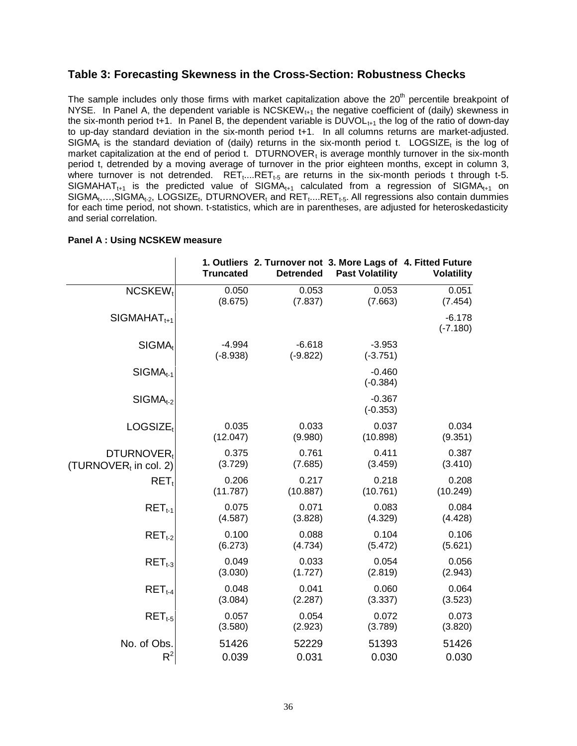### **Table 3: Forecasting Skewness in the Cross-Section: Robustness Checks**

The sample includes only those firms with market capitalization above the  $20<sup>th</sup>$  percentile breakpoint of NYSE. In Panel A, the dependent variable is NCSKEW<sub>t+1</sub> the negative coefficient of (daily) skewness in the six-month period t+1. In Panel B, the dependent variable is  $\text{DUVOL}_{t+1}$  the log of the ratio of down-day to up-day standard deviation in the six-month period t+1. In all columns returns are market-adjusted.  $SIGMA_t$  is the standard deviation of (daily) returns in the six-month period t. LOGSIZE<sub>t</sub> is the log of market capitalization at the end of period t. DTURNOVER, is average monthly turnover in the six-month period t, detrended by a moving average of turnover in the prior eighteen months, except in column 3, where turnover is not detrended.  $RET_{t...}RET_{t-5}$  are returns in the six-month periods t through t-5. SIGMAHAT<sub>t+1</sub> is the predicted value of SIGMA<sub>t+1</sub> calculated from a regression of SIGMA<sub>t+1</sub> on  $SIGMA_t, \ldots, SIGMA_{t-2}$ , LOGSIZE<sub>t</sub>, DTURNOVER<sub>t</sub> and RET<sub>t</sub>....RET<sub>t-5</sub>. All regressions also contain dummies for each time period, not shown. t-statistics, which are in parentheses, are adjusted for heteroskedasticity and serial correlation.

|                                   | <b>Truncated</b>       | <b>Detrended</b>       | 1. Outliers 2. Turnover not 3. More Lags of 4. Fitted Future<br><b>Past Volatility</b> | <b>Volatility</b>      |
|-----------------------------------|------------------------|------------------------|----------------------------------------------------------------------------------------|------------------------|
| $NCSKEW_t$                        | 0.050                  | 0.053                  | 0.053                                                                                  | 0.051                  |
|                                   | (8.675)                | (7.837)                | (7.663)                                                                                | (7.454)                |
| $SIGMAHATt+1$                     |                        |                        |                                                                                        | $-6.178$<br>$(-7.180)$ |
| SIGMA <sub>t</sub>                | $-4.994$<br>$(-8.938)$ | $-6.618$<br>$(-9.822)$ | $-3.953$<br>$(-3.751)$                                                                 |                        |
| $SIGMA_{t-1}$                     |                        |                        | $-0.460$<br>$(-0.384)$                                                                 |                        |
| $SIGMA_{t-2}$                     |                        |                        | $-0.367$<br>$(-0.353)$                                                                 |                        |
| LOGSIZE <sub>t</sub>              | 0.035                  | 0.033                  | 0.037                                                                                  | 0.034                  |
|                                   | (12.047)               | (9.980)                | (10.898)                                                                               | (9.351)                |
| DTURNOVER <sub>t</sub>            | 0.375                  | 0.761                  | 0.411                                                                                  | 0.387                  |
| (TURNOVER <sub>t</sub> in col. 2) | (3.729)                | (7.685)                | (3.459)                                                                                | (3.410)                |
| $RET_t$                           | 0.206                  | 0.217                  | 0.218                                                                                  | 0.208                  |
|                                   | (11.787)               | (10.887)               | (10.761)                                                                               | (10.249)               |
| $RETt-1$                          | 0.075                  | 0.071                  | 0.083                                                                                  | 0.084                  |
|                                   | (4.587)                | (3.828)                | (4.329)                                                                                | (4.428)                |
| $RET_{t-2}$                       | 0.100                  | 0.088                  | 0.104                                                                                  | 0.106                  |
|                                   | (6.273)                | (4.734)                | (5.472)                                                                                | (5.621)                |
| $RET_{t-3}$                       | 0.049                  | 0.033                  | 0.054                                                                                  | 0.056                  |
|                                   | (3.030)                | (1.727)                | (2.819)                                                                                | (2.943)                |
| $RET_{t-4}$                       | 0.048                  | 0.041                  | 0.060                                                                                  | 0.064                  |
|                                   | (3.084)                | (2.287)                | (3.337)                                                                                | (3.523)                |
| $RET_{t-5}$                       | 0.057                  | 0.054                  | 0.072                                                                                  | 0.073                  |
|                                   | (3.580)                | (2.923)                | (3.789)                                                                                | (3.820)                |
| No. of Obs.                       | 51426                  | 52229                  | 51393                                                                                  | 51426                  |
| $R^2$                             | 0.039                  | 0.031                  | 0.030                                                                                  | 0.030                  |

### **Panel A : Using NCSKEW measure**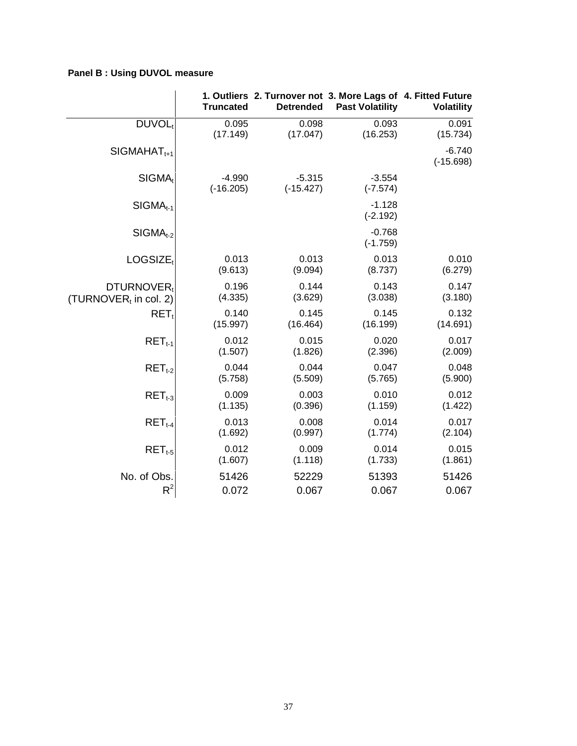### **Panel B : Using DUVOL measure**

|                       | <b>Truncated</b>        | <b>Detrended</b>        | 1. Outliers 2. Turnover not 3. More Lags of 4. Fitted Future<br><b>Past Volatility</b> | <b>Volatility</b>       |
|-----------------------|-------------------------|-------------------------|----------------------------------------------------------------------------------------|-------------------------|
| DUVOL <sub>t</sub>    | 0.095                   | 0.098                   | 0.093                                                                                  | 0.091                   |
|                       | (17.149)                | (17.047)                | (16.253)                                                                               | (15.734)                |
| $SIGMAHAT1+1$         |                         |                         |                                                                                        | $-6.740$<br>$(-15.698)$ |
| $SIGMA_t$             | $-4.990$<br>$(-16.205)$ | $-5.315$<br>$(-15.427)$ | $-3.554$<br>$(-7.574)$                                                                 |                         |
| $SIGMA_{t-1}$         |                         |                         | $-1.128$<br>$(-2.192)$                                                                 |                         |
| $SIGMA_{t-2}$         |                         |                         | $-0.768$<br>$(-1.759)$                                                                 |                         |
| LOGSIZE <sub>t</sub>  | 0.013                   | 0.013                   | 0.013                                                                                  | 0.010                   |
|                       | (9.613)                 | (9.094)                 | (8.737)                                                                                | (6.279)                 |
| DTURNOVER,            | 0.196                   | 0.144                   | 0.143                                                                                  | 0.147                   |
| (TURNOVER, in col. 2) | (4.335)                 | (3.629)                 | (3.038)                                                                                | (3.180)                 |
| $RET_t$               | 0.140                   | 0.145                   | 0.145                                                                                  | 0.132                   |
|                       | (15.997)                | (16.464)                | (16.199)                                                                               | (14.691)                |
| $RET_{t-1}$           | 0.012                   | 0.015                   | 0.020                                                                                  | 0.017                   |
|                       | (1.507)                 | (1.826)                 | (2.396)                                                                                | (2.009)                 |
| $RET_{t-2}$           | 0.044                   | 0.044                   | 0.047                                                                                  | 0.048                   |
|                       | (5.758)                 | (5.509)                 | (5.765)                                                                                | (5.900)                 |
| $RET_{t-3}$           | 0.009                   | 0.003                   | 0.010                                                                                  | 0.012                   |
|                       | (1.135)                 | (0.396)                 | (1.159)                                                                                | (1.422)                 |
| $RET_{t-4}$           | 0.013                   | 0.008                   | 0.014                                                                                  | 0.017                   |
|                       | (1.692)                 | (0.997)                 | (1.774)                                                                                | (2.104)                 |
| $RET_{t-5}$           | 0.012                   | 0.009                   | 0.014                                                                                  | 0.015                   |
|                       | (1.607)                 | (1.118)                 | (1.733)                                                                                | (1.861)                 |
| No. of Obs.           | 51426                   | 52229                   | 51393                                                                                  | 51426                   |
| $R^2$                 | 0.072                   | 0.067                   | 0.067                                                                                  | 0.067                   |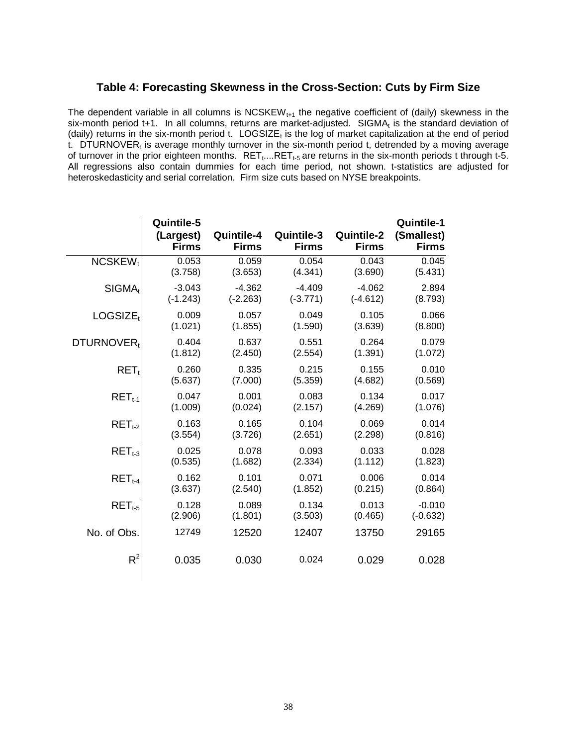### **Table 4: Forecasting Skewness in the Cross-Section: Cuts by Firm Size**

The dependent variable in all columns is  $NCSKEW<sub>t+1</sub>$  the negative coefficient of (daily) skewness in the six-month period t+1. In all columns, returns are market-adjusted. SIGMA $<sub>t</sub>$  is the standard deviation of</sub> (daily) returns in the six-month period t.  $LOGSIZE_t$  is the log of market capitalization at the end of period t. DTURNOVER $<sub>t</sub>$  is average monthly turnover in the six-month period t, detrended by a moving average</sub> of turnover in the prior eighteen months.  $RET_{t}$ ... $RET_{t-5}$  are returns in the six-month periods t through t-5. All regressions also contain dummies for each time period, not shown. t-statistics are adjusted for heteroskedasticity and serial correlation. Firm size cuts based on NYSE breakpoints.

|                        | Quintile-5<br>(Largest)<br><b>Firms</b> | Quintile-4<br><b>Firms</b> | Quintile-3<br><b>Firms</b> | <b>Quintile-2</b><br><b>Firms</b> | <b>Quintile-1</b><br>(Smallest)<br><b>Firms</b> |
|------------------------|-----------------------------------------|----------------------------|----------------------------|-----------------------------------|-------------------------------------------------|
| NCSKEW <sub>t</sub>    | 0.053                                   | 0.059                      | 0.054                      | 0.043                             | 0.045                                           |
|                        | (3.758)                                 | (3.653)                    | (4.341)                    | (3.690)                           | (5.431)                                         |
| SIGMA <sub>t</sub>     | $-3.043$                                | $-4.362$                   | $-4.409$                   | $-4.062$                          | 2.894                                           |
|                        | $(-1.243)$                              | $(-2.263)$                 | $(-3.771)$                 | $(-4.612)$                        | (8.793)                                         |
| LOGSIZE <sub>t</sub>   | 0.009                                   | 0.057                      | 0.049                      | 0.105                             | 0.066                                           |
|                        | (1.021)                                 | (1.855)                    | (1.590)                    | (3.639)                           | (8.800)                                         |
| DTURNOVER <sub>t</sub> | 0.404                                   | 0.637                      | 0.551                      | 0.264                             | 0.079                                           |
|                        | (1.812)                                 | (2.450)                    | (2.554)                    | (1.391)                           | (1.072)                                         |
| $RET_t$                | 0.260                                   | 0.335                      | 0.215                      | 0.155                             | 0.010                                           |
|                        | (5.637)                                 | (7.000)                    | (5.359)                    | (4.682)                           | (0.569)                                         |
| $RET_{t-1}$            | 0.047                                   | 0.001                      | 0.083                      | 0.134                             | 0.017                                           |
|                        | (1.009)                                 | (0.024)                    | (2.157)                    | (4.269)                           | (1.076)                                         |
| $RET_{t-2}$            | 0.163                                   | 0.165                      | 0.104                      | 0.069                             | 0.014                                           |
|                        | (3.554)                                 | (3.726)                    | (2.651)                    | (2.298)                           | (0.816)                                         |
| $RETt-3$               | 0.025                                   | 0.078                      | 0.093                      | 0.033                             | 0.028                                           |
|                        | (0.535)                                 | (1.682)                    | (2.334)                    | (1.112)                           | (1.823)                                         |
| $RET_{t-4}$            | 0.162                                   | 0.101                      | 0.071                      | 0.006                             | 0.014                                           |
|                        | (3.637)                                 | (2.540)                    | (1.852)                    | (0.215)                           | (0.864)                                         |
| $RET_{t-5}$            | 0.128                                   | 0.089                      | 0.134                      | 0.013                             | $-0.010$                                        |
|                        | (2.906)                                 | (1.801)                    | (3.503)                    | (0.465)                           | $(-0.632)$                                      |
| No. of Obs.            | 12749                                   | 12520                      | 12407                      | 13750                             | 29165                                           |
| $R^2$                  | 0.035                                   | 0.030                      | 0.024                      | 0.029                             | 0.028                                           |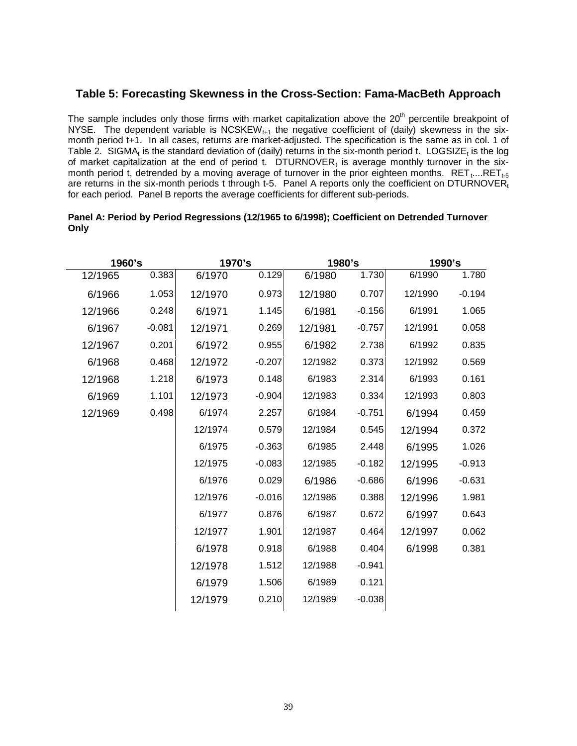### **Table 5: Forecasting Skewness in the Cross-Section: Fama-MacBeth Approach**

The sample includes only those firms with market capitalization above the  $20<sup>th</sup>$  percentile breakpoint of NYSE. The dependent variable is NCSKEW $_{t+1}$  the negative coefficient of (daily) skewness in the sixmonth period t+1. In all cases, returns are market-adjusted. The specification is the same as in col. 1 of Table 2. SIGMA<sub>t</sub> is the standard deviation of (daily) returns in the six-month period t. LOGSIZE<sub>t</sub> is the log of market capitalization at the end of period t.  $DTURNOVER<sub>t</sub>$  is average monthly turnover in the sixmonth period t, detrended by a moving average of turnover in the prior eighteen months.  $RET<sub>t</sub>...RET<sub>t-5</sub>$ are returns in the six-month periods t through t-5. Panel A reports only the coefficient on DTURNOVER<sub>t</sub> for each period. Panel B reports the average coefficients for different sub-periods.

| 1960's |         |          | 1970's  |          | 1980's  |          | 1990's  |          |
|--------|---------|----------|---------|----------|---------|----------|---------|----------|
|        | 12/1965 | 0.383    | 6/1970  | 0.129    | 6/1980  | 1.730    | 6/1990  | 1.780    |
|        | 6/1966  | 1.053    | 12/1970 | 0.973    | 12/1980 | 0.707    | 12/1990 | $-0.194$ |
|        | 12/1966 | 0.248    | 6/1971  | 1.145    | 6/1981  | $-0.156$ | 6/1991  | 1.065    |
|        | 6/1967  | $-0.081$ | 12/1971 | 0.269    | 12/1981 | $-0.757$ | 12/1991 | 0.058    |
|        | 12/1967 | 0.201    | 6/1972  | 0.955    | 6/1982  | 2.738    | 6/1992  | 0.835    |
|        | 6/1968  | 0.468    | 12/1972 | $-0.207$ | 12/1982 | 0.373    | 12/1992 | 0.569    |
|        | 12/1968 | 1.218    | 6/1973  | 0.148    | 6/1983  | 2.314    | 6/1993  | 0.161    |
|        | 6/1969  | 1.101    | 12/1973 | $-0.904$ | 12/1983 | 0.334    | 12/1993 | 0.803    |
|        | 12/1969 | 0.498    | 6/1974  | 2.257    | 6/1984  | $-0.751$ | 6/1994  | 0.459    |
|        |         |          | 12/1974 | 0.579    | 12/1984 | 0.545    | 12/1994 | 0.372    |
|        |         |          | 6/1975  | $-0.363$ | 6/1985  | 2.448    | 6/1995  | 1.026    |
|        |         |          | 12/1975 | $-0.083$ | 12/1985 | $-0.182$ | 12/1995 | $-0.913$ |
|        |         |          | 6/1976  | 0.029    | 6/1986  | $-0.686$ | 6/1996  | $-0.631$ |
|        |         |          | 12/1976 | $-0.016$ | 12/1986 | 0.388    | 12/1996 | 1.981    |
|        |         |          | 6/1977  | 0.876    | 6/1987  | 0.672    | 6/1997  | 0.643    |
|        |         |          | 12/1977 | 1.901    | 12/1987 | 0.464    | 12/1997 | 0.062    |
|        |         |          | 6/1978  | 0.918    | 6/1988  | 0.404    | 6/1998  | 0.381    |
|        |         |          | 12/1978 | 1.512    | 12/1988 | $-0.941$ |         |          |
|        |         |          | 6/1979  | 1.506    | 6/1989  | 0.121    |         |          |
|        |         |          | 12/1979 | 0.210    | 12/1989 | $-0.038$ |         |          |
|        |         |          |         |          |         |          |         |          |

### **Panel A: Period by Period Regressions (12/1965 to 6/1998); Coefficient on Detrended Turnover Only**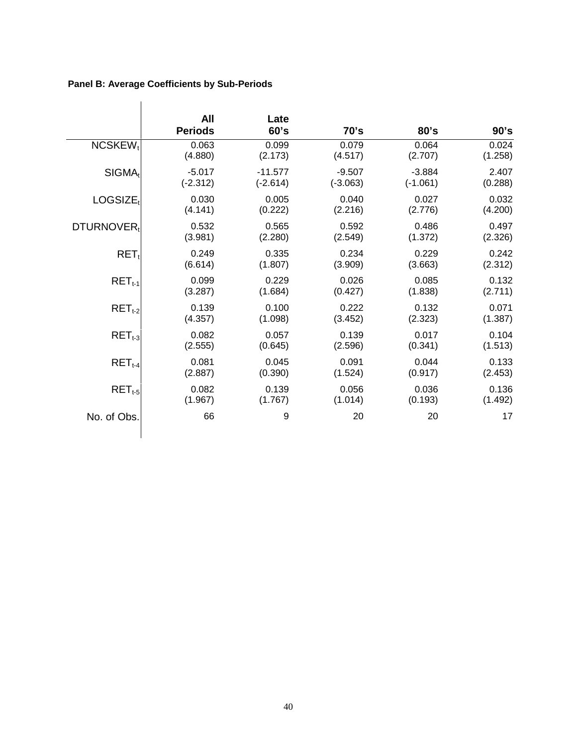### **Panel B: Average Coefficients by Sub-Periods**

 $\overline{\phantom{a}}$ 

|                        | All<br><b>Periods</b> | Late<br>60's | 70's       | 80's       | 90's    |
|------------------------|-----------------------|--------------|------------|------------|---------|
| NCSKEW <sub>t</sub>    | 0.063                 | 0.099        | 0.079      | 0.064      | 0.024   |
|                        | (4.880)               | (2.173)      | (4.517)    | (2.707)    | (1.258) |
| $SIGMA_t$              | $-5.017$              | $-11.577$    | $-9.507$   | $-3.884$   | 2.407   |
|                        | $(-2.312)$            | $(-2.614)$   | $(-3.063)$ | $(-1.061)$ | (0.288) |
| LOGSIZE <sub>t</sub>   | 0.030                 | 0.005        | 0.040      | 0.027      | 0.032   |
|                        | (4.141)               | (0.222)      | (2.216)    | (2.776)    | (4.200) |
| DTURNOVER <sub>t</sub> | 0.532                 | 0.565        | 0.592      | 0.486      | 0.497   |
|                        | (3.981)               | (2.280)      | (2.549)    | (1.372)    | (2.326) |
| $RET_t$                | 0.249                 | 0.335        | 0.234      | 0.229      | 0.242   |
|                        | (6.614)               | (1.807)      | (3.909)    | (3.663)    | (2.312) |
| $RET_{t-1}$            | 0.099                 | 0.229        | 0.026      | 0.085      | 0.132   |
|                        | (3.287)               | (1.684)      | (0.427)    | (1.838)    | (2.711) |
| $RETt-2$               | 0.139                 | 0.100        | 0.222      | 0.132      | 0.071   |
|                        | (4.357)               | (1.098)      | (3.452)    | (2.323)    | (1.387) |
| $RET_{t-3}$            | 0.082                 | 0.057        | 0.139      | 0.017      | 0.104   |
|                        | (2.555)               | (0.645)      | (2.596)    | (0.341)    | (1.513) |
| $RET_{t-4}$            | 0.081                 | 0.045        | 0.091      | 0.044      | 0.133   |
|                        | (2.887)               | (0.390)      | (1.524)    | (0.917)    | (2.453) |
| $RET_{t-5}$            | 0.082                 | 0.139        | 0.056      | 0.036      | 0.136   |
|                        | (1.967)               | (1.767)      | (1.014)    | (0.193)    | (1.492) |
| No. of Obs.            | 66                    | 9            | 20         | 20         | 17      |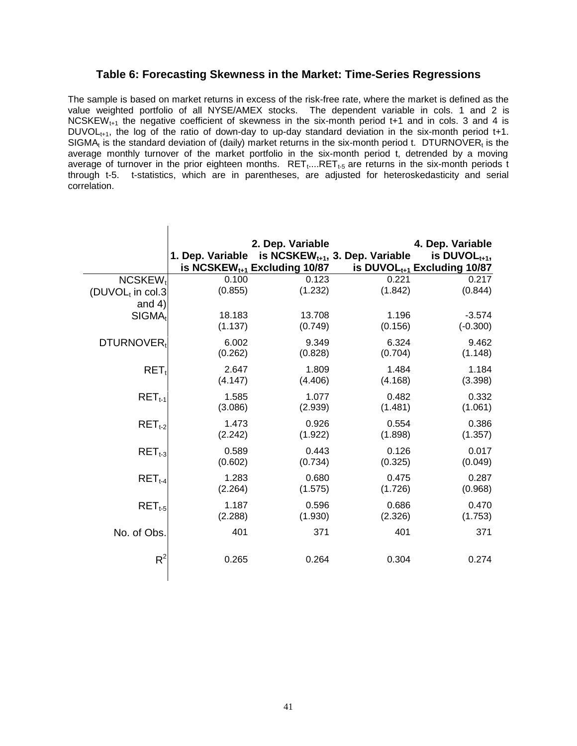### **Table 6: Forecasting Skewness in the Market: Time-Series Regressions**

The sample is based on market returns in excess of the risk-free rate, where the market is defined as the value weighted portfolio of all NYSE/AMEX stocks. The dependent variable in cols. 1 and 2 is NCSKEW<sub>t+1</sub> the negative coefficient of skewness in the six-month period t+1 and in cols. 3 and 4 is  $DUVOL_{t+1}$ , the log of the ratio of down-day to up-day standard deviation in the six-month period t+1. SIGMA<sub>t</sub> is the standard deviation of (daily) market returns in the six-month period t. DTURNOVER<sub>t</sub> is the average monthly turnover of the market portfolio in the six-month period t, detrended by a moving average of turnover in the prior eighteen months.  $RET_{t}$ ... $RET_{t-5}$  are returns in the six-month periods t through t-5. t-statistics, which are in parentheses, are adjusted for heteroskedasticity and serial correlation.

|                              |                  | 2. Dep. Variable<br>is NCSKEW <sub>t+1</sub> Excluding 10/87 | 1. Dep. Variable is $NCSKEW_{t+1}$ , 3. Dep. Variable | 4. Dep. Variable<br>is DUVOL $_{t+1}$ ,<br>is DUVOL $_{t+1}$ Excluding 10/87 |
|------------------------------|------------------|--------------------------------------------------------------|-------------------------------------------------------|------------------------------------------------------------------------------|
| NCSKEW <sub>t</sub>          | 0.100            | 0.123                                                        | 0.221                                                 | 0.217                                                                        |
| (DUVOL <sub>t</sub> in col.3 | (0.855)          | (1.232)                                                      | (1.842)                                               | (0.844)                                                                      |
| and $4)$                     |                  |                                                              |                                                       |                                                                              |
| $SIGMA_t$                    | 18.183           | 13.708                                                       | 1.196                                                 | $-3.574$                                                                     |
|                              | (1.137)          | (0.749)                                                      | (0.156)                                               | $(-0.300)$                                                                   |
| DTURNOVER <sub>t</sub>       | 6.002            | 9.349                                                        | 6.324                                                 | 9.462                                                                        |
|                              | (0.262)          | (0.828)                                                      | (0.704)                                               | (1.148)                                                                      |
| $RET_t$                      | 2.647            | 1.809                                                        | 1.484                                                 | 1.184                                                                        |
|                              | (4.147)          | (4.406)                                                      | (4.168)                                               | (3.398)                                                                      |
| $RET_{t-1}$                  | 1.585            | 1.077                                                        | 0.482                                                 | 0.332                                                                        |
|                              | (3.086)          | (2.939)                                                      | (1.481)                                               | (1.061)                                                                      |
| $RET_{t-2}$                  | 1.473            | 0.926                                                        | 0.554                                                 | 0.386                                                                        |
|                              | (2.242)          | (1.922)                                                      | (1.898)                                               | (1.357)                                                                      |
| $RETt-3$                     | 0.589            | 0.443                                                        | 0.126                                                 | 0.017                                                                        |
|                              | (0.602)          | (0.734)                                                      | (0.325)                                               | (0.049)                                                                      |
|                              |                  |                                                              |                                                       |                                                                              |
| $RET_{t-4}$                  | 1.283<br>(2.264) | 0.680                                                        | 0.475                                                 | 0.287                                                                        |
|                              |                  | (1.575)                                                      | (1.726)                                               | (0.968)                                                                      |
| $RET_{t-5}$                  | 1.187            | 0.596                                                        | 0.686                                                 | 0.470                                                                        |
|                              | (2.288)          | (1.930)                                                      | (2.326)                                               | (1.753)                                                                      |
| No. of Obs.                  | 401              | 371                                                          | 401                                                   | 371                                                                          |
|                              |                  |                                                              |                                                       |                                                                              |
| $R^2$                        | 0.265            | 0.264                                                        | 0.304                                                 | 0.274                                                                        |
|                              |                  |                                                              |                                                       |                                                                              |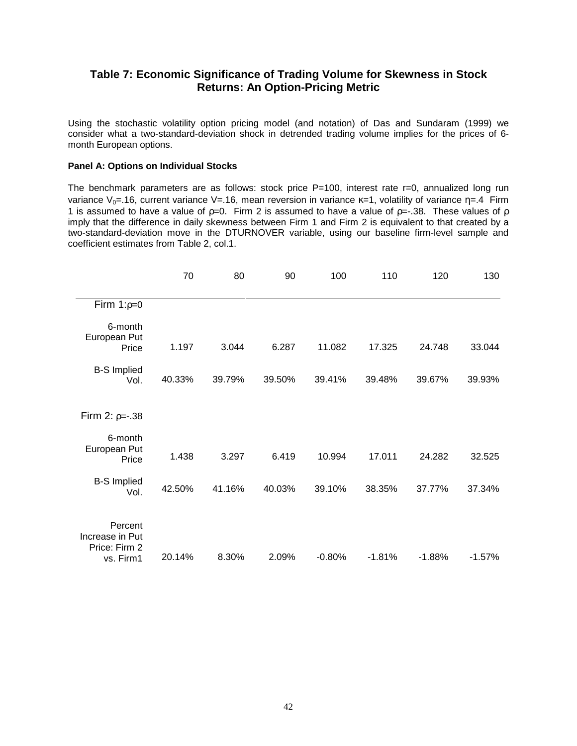### **Table 7: Economic Significance of Trading Volume for Skewness in Stock Returns: An Option-Pricing Metric**

Using the stochastic volatility option pricing model (and notation) of Das and Sundaram (1999) we consider what a two-standard-deviation shock in detrended trading volume implies for the prices of 6 month European options.

#### **Panel A: Options on Individual Stocks**

The benchmark parameters are as follows: stock price  $P=100$ , interest rate  $r=0$ , annualized long run variance  $V_0$ =.16, current variance V=.16, mean reversion in variance  $\kappa$ =1, volatility of variance  $\eta$ =.4 Firm 1 is assumed to have a value of  $p=0$ . Firm 2 is assumed to have a value of  $p=-.38$ . These values of  $p$ imply that the difference in daily skewness between Firm 1 and Firm 2 is equivalent to that created by a two-standard-deviation move in the DTURNOVER variable, using our baseline firm-level sample and coefficient estimates from Table 2, col.1.

|                                                          | 70     | 80     | 90     | 100      | 110      | 120      | 130      |
|----------------------------------------------------------|--------|--------|--------|----------|----------|----------|----------|
| Firm $1:p=0$                                             |        |        |        |          |          |          |          |
| 6-month<br>European Put<br>Price                         | 1.197  | 3.044  | 6.287  | 11.082   | 17.325   | 24.748   | 33.044   |
| <b>B-S Implied</b><br>Vol.                               | 40.33% | 39.79% | 39.50% | 39.41%   | 39.48%   | 39.67%   | 39.93%   |
| Firm 2: $p=-.38$                                         |        |        |        |          |          |          |          |
| 6-month<br>European Put<br>Price                         | 1.438  | 3.297  | 6.419  | 10.994   | 17.011   | 24.282   | 32.525   |
| <b>B-S Implied</b><br>Vol.                               | 42.50% | 41.16% | 40.03% | 39.10%   | 38.35%   | 37.77%   | 37.34%   |
| Percent<br>Increase in Put<br>Price: Firm 2<br>vs. Firm1 | 20.14% | 8.30%  | 2.09%  | $-0.80%$ | $-1.81%$ | $-1.88%$ | $-1.57%$ |